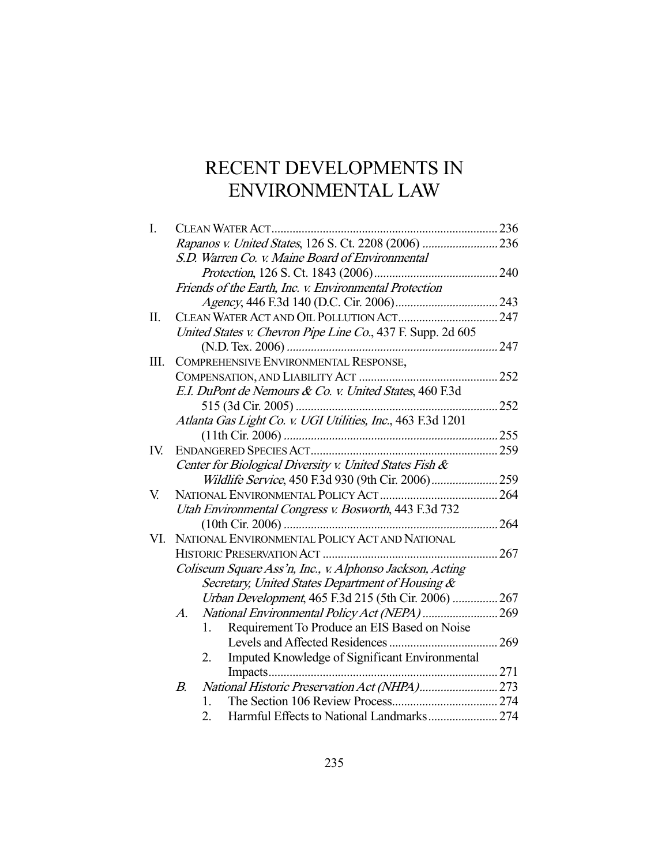# RECENT DEVELOPMENTS IN ENVIRONMENTAL LAW

| I.  |                                                             | 236<br>CLEAN WATER ACT                                      |     |  |
|-----|-------------------------------------------------------------|-------------------------------------------------------------|-----|--|
|     |                                                             |                                                             |     |  |
|     |                                                             | S.D. Warren Co. v. Maine Board of Environmental             |     |  |
|     |                                                             |                                                             |     |  |
|     |                                                             | Friends of the Earth, Inc. v. Environmental Protection      |     |  |
|     |                                                             |                                                             |     |  |
| Π.  |                                                             |                                                             |     |  |
|     | United States v. Chevron Pipe Line Co., 437 F. Supp. 2d 605 |                                                             |     |  |
|     |                                                             |                                                             | 247 |  |
| Ш.  |                                                             | COMPREHENSIVE ENVIRONMENTAL RESPONSE,                       |     |  |
|     |                                                             |                                                             | 252 |  |
|     |                                                             | E.I. DuPont de Nemours & Co. v. United States, 460 F.3d     |     |  |
|     |                                                             |                                                             | 252 |  |
|     |                                                             | Atlanta Gas Light Co. v. UGI Utilities, Inc., 463 F.3d 1201 |     |  |
|     |                                                             |                                                             |     |  |
| IV. |                                                             |                                                             |     |  |
|     | Center for Biological Diversity v. United States Fish &     |                                                             |     |  |
|     |                                                             | Wildlife Service, 450 F.3d 930 (9th Cir. 2006) 259          |     |  |
| V.  |                                                             |                                                             |     |  |
|     | Utah Environmental Congress v. Bosworth, 443 F.3d 732       |                                                             |     |  |
|     |                                                             |                                                             |     |  |
| VI. |                                                             | NATIONAL ENVIRONMENTAL POLICY ACT AND NATIONAL              |     |  |
|     |                                                             |                                                             | 267 |  |
|     | Coliseum Square Ass'n, Inc., v. Alphonso Jackson, Acting    |                                                             |     |  |
|     |                                                             | Secretary, United States Department of Housing &            |     |  |
|     |                                                             | Urban Development, 465 F.3d 215 (5th Cir. 2006)  267        |     |  |
|     | A.                                                          |                                                             |     |  |
|     |                                                             | Requirement To Produce an EIS Based on Noise<br>1.          |     |  |
|     |                                                             |                                                             |     |  |
|     |                                                             | Imputed Knowledge of Significant Environmental<br>2.        |     |  |
|     |                                                             |                                                             |     |  |
|     | В.                                                          | National Historic Preservation Act (NHPA) 273               |     |  |
|     |                                                             | 1.                                                          |     |  |
|     |                                                             | Harmful Effects to National Landmarks 274<br>2.             |     |  |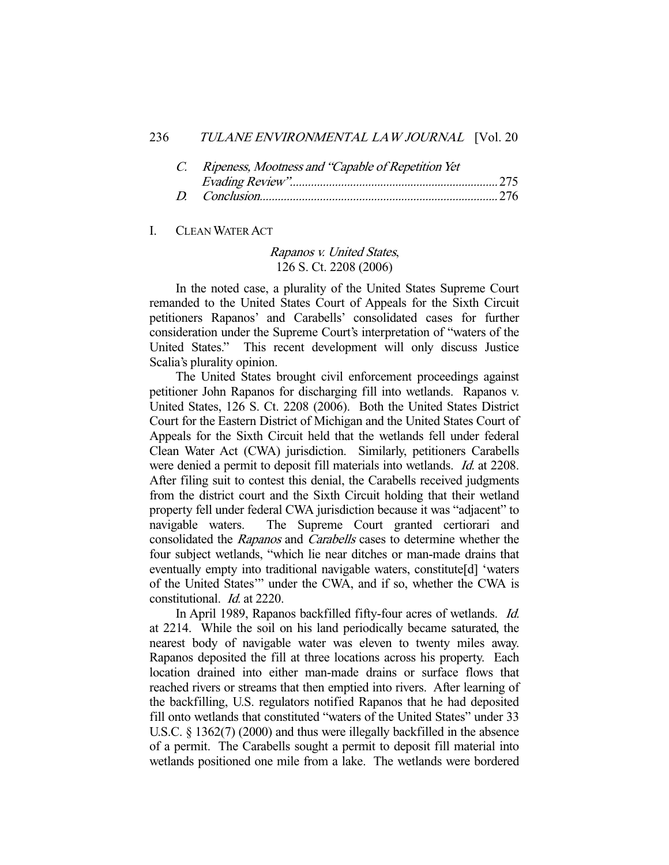| C. Ripeness, Mootness and "Capable of Repetition Yet" |  |
|-------------------------------------------------------|--|
|                                                       |  |
|                                                       |  |

#### I. CLEAN WATER ACT

## Rapanos v. United States, 126 S. Ct. 2208 (2006)

 In the noted case, a plurality of the United States Supreme Court remanded to the United States Court of Appeals for the Sixth Circuit petitioners Rapanos' and Carabells' consolidated cases for further consideration under the Supreme Court's interpretation of "waters of the United States." This recent development will only discuss Justice Scalia's plurality opinion.

 The United States brought civil enforcement proceedings against petitioner John Rapanos for discharging fill into wetlands. Rapanos v. United States, 126 S. Ct. 2208 (2006). Both the United States District Court for the Eastern District of Michigan and the United States Court of Appeals for the Sixth Circuit held that the wetlands fell under federal Clean Water Act (CWA) jurisdiction. Similarly, petitioners Carabells were denied a permit to deposit fill materials into wetlands. *Id.* at 2208. After filing suit to contest this denial, the Carabells received judgments from the district court and the Sixth Circuit holding that their wetland property fell under federal CWA jurisdiction because it was "adjacent" to navigable waters. The Supreme Court granted certiorari and consolidated the Rapanos and Carabells cases to determine whether the four subject wetlands, "which lie near ditches or man-made drains that eventually empty into traditional navigable waters, constitute[d] 'waters of the United States'" under the CWA, and if so, whether the CWA is constitutional. Id. at 2220.

 In April 1989, Rapanos backfilled fifty-four acres of wetlands. Id. at 2214. While the soil on his land periodically became saturated, the nearest body of navigable water was eleven to twenty miles away. Rapanos deposited the fill at three locations across his property. Each location drained into either man-made drains or surface flows that reached rivers or streams that then emptied into rivers. After learning of the backfilling, U.S. regulators notified Rapanos that he had deposited fill onto wetlands that constituted "waters of the United States" under 33 U.S.C. § 1362(7) (2000) and thus were illegally backfilled in the absence of a permit. The Carabells sought a permit to deposit fill material into wetlands positioned one mile from a lake. The wetlands were bordered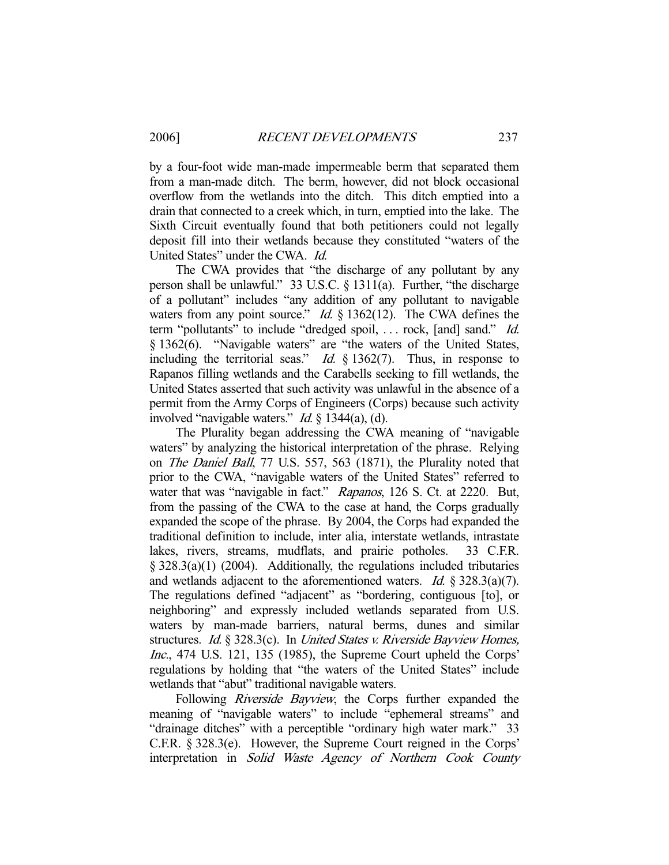by a four-foot wide man-made impermeable berm that separated them from a man-made ditch. The berm, however, did not block occasional overflow from the wetlands into the ditch. This ditch emptied into a drain that connected to a creek which, in turn, emptied into the lake. The Sixth Circuit eventually found that both petitioners could not legally deposit fill into their wetlands because they constituted "waters of the United States" under the CWA. Id.

 The CWA provides that "the discharge of any pollutant by any person shall be unlawful." 33 U.S.C. § 1311(a). Further, "the discharge of a pollutant" includes "any addition of any pollutant to navigable waters from any point source." *Id.*  $\S$  1362(12). The CWA defines the term "pollutants" to include "dredged spoil, ... rock, [and] sand." Id. § 1362(6). "Navigable waters" are "the waters of the United States, including the territorial seas." *Id.*  $\S$  1362(7). Thus, in response to Rapanos filling wetlands and the Carabells seeking to fill wetlands, the United States asserted that such activity was unlawful in the absence of a permit from the Army Corps of Engineers (Corps) because such activity involved "navigable waters." Id. § 1344(a), (d).

 The Plurality began addressing the CWA meaning of "navigable waters" by analyzing the historical interpretation of the phrase. Relying on The Daniel Ball, 77 U.S. 557, 563 (1871), the Plurality noted that prior to the CWA, "navigable waters of the United States" referred to water that was "navigable in fact." Rapanos, 126 S. Ct. at 2220. But, from the passing of the CWA to the case at hand, the Corps gradually expanded the scope of the phrase. By 2004, the Corps had expanded the traditional definition to include, inter alia, interstate wetlands, intrastate lakes, rivers, streams, mudflats, and prairie potholes. 33 C.F.R. § 328.3(a)(1) (2004). Additionally, the regulations included tributaries and wetlands adjacent to the aforementioned waters. *Id.*  $\S 328.3(a)(7)$ . The regulations defined "adjacent" as "bordering, contiguous [to], or neighboring" and expressly included wetlands separated from U.S. waters by man-made barriers, natural berms, dunes and similar structures. Id. § 328.3(c). In United States v. Riverside Bayview Homes, Inc., 474 U.S. 121, 135 (1985), the Supreme Court upheld the Corps' regulations by holding that "the waters of the United States" include wetlands that "abut" traditional navigable waters.

Following *Riverside Bayview*, the Corps further expanded the meaning of "navigable waters" to include "ephemeral streams" and "drainage ditches" with a perceptible "ordinary high water mark." 33 C.F.R. § 328.3(e). However, the Supreme Court reigned in the Corps' interpretation in Solid Waste Agency of Northern Cook County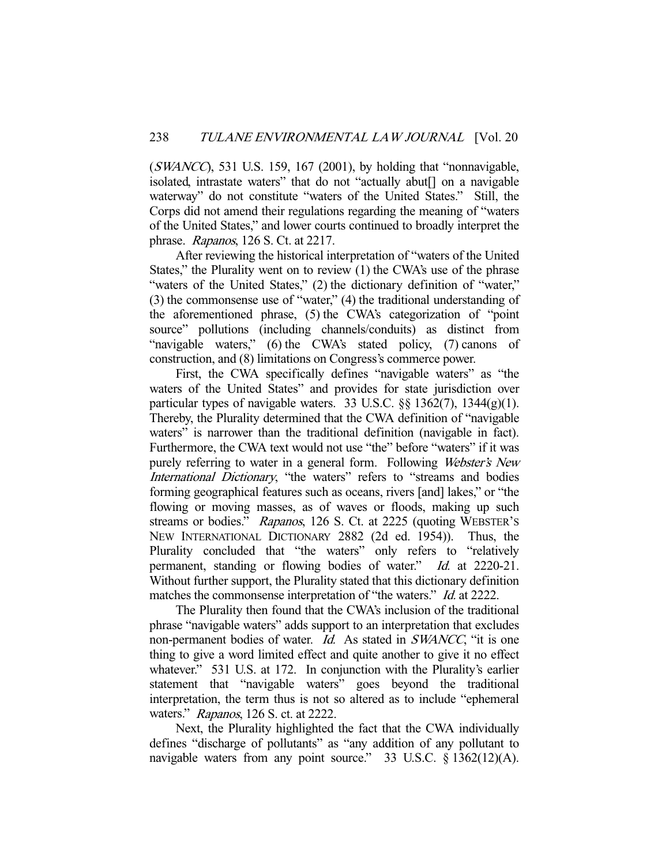$(SWANCC)$ , 531 U.S. 159, 167 (2001), by holding that "nonnavigable, isolated, intrastate waters" that do not "actually abut[] on a navigable waterway" do not constitute "waters of the United States." Still, the Corps did not amend their regulations regarding the meaning of "waters of the United States," and lower courts continued to broadly interpret the phrase. Rapanos, 126 S. Ct. at 2217.

 After reviewing the historical interpretation of "waters of the United States," the Plurality went on to review (1) the CWA's use of the phrase "waters of the United States," (2) the dictionary definition of "water," (3) the commonsense use of "water," (4) the traditional understanding of the aforementioned phrase, (5) the CWA's categorization of "point source" pollutions (including channels/conduits) as distinct from "navigable waters," (6) the CWA's stated policy, (7) canons of construction, and (8) limitations on Congress's commerce power.

 First, the CWA specifically defines "navigable waters" as "the waters of the United States" and provides for state jurisdiction over particular types of navigable waters. 33 U.S.C.  $\S$ § 1362(7), 1344(g)(1). Thereby, the Plurality determined that the CWA definition of "navigable waters" is narrower than the traditional definition (navigable in fact). Furthermore, the CWA text would not use "the" before "waters" if it was purely referring to water in a general form. Following Webster's New International Dictionary, "the waters" refers to "streams and bodies forming geographical features such as oceans, rivers [and] lakes," or "the flowing or moving masses, as of waves or floods, making up such streams or bodies." Rapanos, 126 S. Ct. at 2225 (quoting WEBSTER's NEW INTERNATIONAL DICTIONARY 2882 (2d ed. 1954)). Thus, the Plurality concluded that "the waters" only refers to "relatively permanent, standing or flowing bodies of water." Id. at 2220-21. Without further support, the Plurality stated that this dictionary definition matches the commonsense interpretation of "the waters." *Id.* at 2222.

 The Plurality then found that the CWA's inclusion of the traditional phrase "navigable waters" adds support to an interpretation that excludes non-permanent bodies of water. *Id.* As stated in *SWANCC*, "it is one thing to give a word limited effect and quite another to give it no effect whatever." 531 U.S. at 172. In conjunction with the Plurality's earlier statement that "navigable waters" goes beyond the traditional interpretation, the term thus is not so altered as to include "ephemeral waters." Rapanos, 126 S. ct. at 2222.

 Next, the Plurality highlighted the fact that the CWA individually defines "discharge of pollutants" as "any addition of any pollutant to navigable waters from any point source." 33 U.S.C. § 1362(12)(A).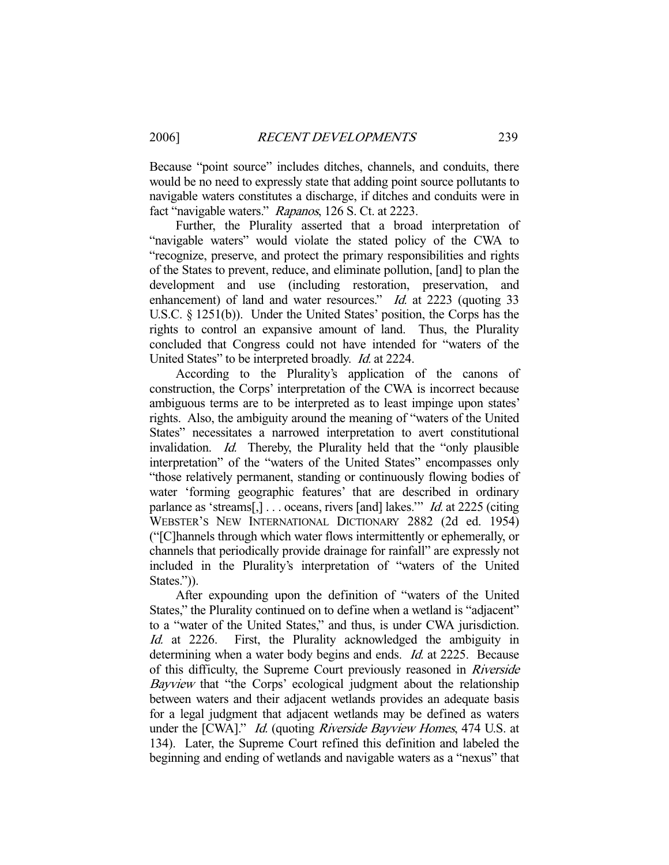Because "point source" includes ditches, channels, and conduits, there would be no need to expressly state that adding point source pollutants to navigable waters constitutes a discharge, if ditches and conduits were in fact "navigable waters." Rapanos, 126 S. Ct. at 2223.

 Further, the Plurality asserted that a broad interpretation of "navigable waters" would violate the stated policy of the CWA to "recognize, preserve, and protect the primary responsibilities and rights of the States to prevent, reduce, and eliminate pollution, [and] to plan the development and use (including restoration, preservation, and enhancement) of land and water resources." Id. at 2223 (quoting 33 U.S.C. § 1251(b)). Under the United States' position, the Corps has the rights to control an expansive amount of land. Thus, the Plurality concluded that Congress could not have intended for "waters of the United States" to be interpreted broadly. Id. at 2224.

 According to the Plurality's application of the canons of construction, the Corps' interpretation of the CWA is incorrect because ambiguous terms are to be interpreted as to least impinge upon states' rights. Also, the ambiguity around the meaning of "waters of the United States" necessitates a narrowed interpretation to avert constitutional invalidation. Id. Thereby, the Plurality held that the "only plausible interpretation" of the "waters of the United States" encompasses only "those relatively permanent, standing or continuously flowing bodies of water 'forming geographic features' that are described in ordinary parlance as 'streams[,]... oceans, rivers [and] lakes." *Id.* at 2225 (citing WEBSTER'S NEW INTERNATIONAL DICTIONARY 2882 (2d ed. 1954) ("[C]hannels through which water flows intermittently or ephemerally, or channels that periodically provide drainage for rainfall" are expressly not included in the Plurality's interpretation of "waters of the United States.")).

 After expounding upon the definition of "waters of the United States," the Plurality continued on to define when a wetland is "adjacent" to a "water of the United States," and thus, is under CWA jurisdiction. Id. at 2226. First, the Plurality acknowledged the ambiguity in determining when a water body begins and ends. *Id.* at 2225. Because of this difficulty, the Supreme Court previously reasoned in Riverside Bayview that "the Corps' ecological judgment about the relationship between waters and their adjacent wetlands provides an adequate basis for a legal judgment that adjacent wetlands may be defined as waters under the [CWA]." *Id.* (quoting *Riverside Bayview Homes*, 474 U.S. at 134). Later, the Supreme Court refined this definition and labeled the beginning and ending of wetlands and navigable waters as a "nexus" that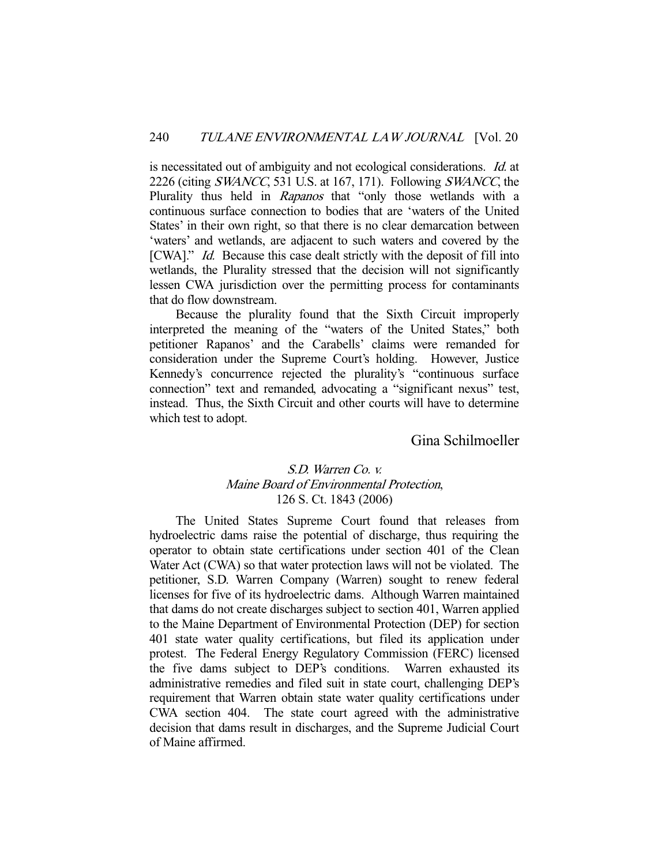is necessitated out of ambiguity and not ecological considerations. Id. at 2226 (citing SWANCC, 531 U.S. at 167, 171). Following SWANCC, the Plurality thus held in Rapanos that "only those wetlands with a continuous surface connection to bodies that are 'waters of the United States' in their own right, so that there is no clear demarcation between 'waters' and wetlands, are adjacent to such waters and covered by the [CWA]." *Id.* Because this case dealt strictly with the deposit of fill into wetlands, the Plurality stressed that the decision will not significantly lessen CWA jurisdiction over the permitting process for contaminants that do flow downstream.

 Because the plurality found that the Sixth Circuit improperly interpreted the meaning of the "waters of the United States," both petitioner Rapanos' and the Carabells' claims were remanded for consideration under the Supreme Court's holding. However, Justice Kennedy's concurrence rejected the plurality's "continuous surface connection" text and remanded, advocating a "significant nexus" test, instead. Thus, the Sixth Circuit and other courts will have to determine which test to adopt.

# Gina Schilmoeller

## S.D. Warren Co. v. Maine Board of Environmental Protection, 126 S. Ct. 1843 (2006)

 The United States Supreme Court found that releases from hydroelectric dams raise the potential of discharge, thus requiring the operator to obtain state certifications under section 401 of the Clean Water Act (CWA) so that water protection laws will not be violated. The petitioner, S.D. Warren Company (Warren) sought to renew federal licenses for five of its hydroelectric dams. Although Warren maintained that dams do not create discharges subject to section 401, Warren applied to the Maine Department of Environmental Protection (DEP) for section 401 state water quality certifications, but filed its application under protest. The Federal Energy Regulatory Commission (FERC) licensed the five dams subject to DEP's conditions. Warren exhausted its administrative remedies and filed suit in state court, challenging DEP's requirement that Warren obtain state water quality certifications under CWA section 404. The state court agreed with the administrative decision that dams result in discharges, and the Supreme Judicial Court of Maine affirmed.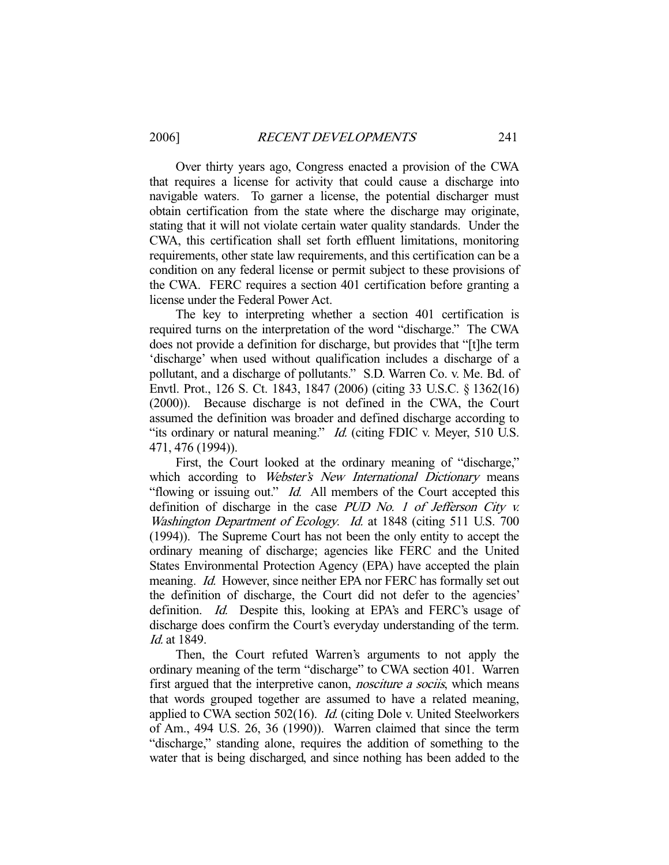Over thirty years ago, Congress enacted a provision of the CWA that requires a license for activity that could cause a discharge into navigable waters. To garner a license, the potential discharger must obtain certification from the state where the discharge may originate, stating that it will not violate certain water quality standards. Under the CWA, this certification shall set forth effluent limitations, monitoring requirements, other state law requirements, and this certification can be a condition on any federal license or permit subject to these provisions of the CWA. FERC requires a section 401 certification before granting a license under the Federal Power Act.

 The key to interpreting whether a section 401 certification is required turns on the interpretation of the word "discharge." The CWA does not provide a definition for discharge, but provides that "[t]he term 'discharge' when used without qualification includes a discharge of a pollutant, and a discharge of pollutants." S.D. Warren Co. v. Me. Bd. of Envtl. Prot., 126 S. Ct. 1843, 1847 (2006) (citing 33 U.S.C. § 1362(16) (2000)). Because discharge is not defined in the CWA, the Court assumed the definition was broader and defined discharge according to "its ordinary or natural meaning." *Id.* (citing FDIC v. Meyer, 510 U.S.) 471, 476 (1994)).

 First, the Court looked at the ordinary meaning of "discharge," which according to Webster's New International Dictionary means "flowing or issuing out." *Id.* All members of the Court accepted this definition of discharge in the case PUD No. 1 of Jefferson City v. Washington Department of Ecology. Id. at 1848 (citing 511 U.S. 700 (1994)). The Supreme Court has not been the only entity to accept the ordinary meaning of discharge; agencies like FERC and the United States Environmental Protection Agency (EPA) have accepted the plain meaning. *Id.* However, since neither EPA nor FERC has formally set out the definition of discharge, the Court did not defer to the agencies' definition. *Id.* Despite this, looking at EPA's and FERC's usage of discharge does confirm the Court's everyday understanding of the term. Id. at 1849.

 Then, the Court refuted Warren's arguments to not apply the ordinary meaning of the term "discharge" to CWA section 401. Warren first argued that the interpretive canon, *nosciture a sociis*, which means that words grouped together are assumed to have a related meaning, applied to CWA section 502(16). *Id.* (citing Dole v. United Steelworkers of Am., 494 U.S. 26, 36 (1990)). Warren claimed that since the term "discharge," standing alone, requires the addition of something to the water that is being discharged, and since nothing has been added to the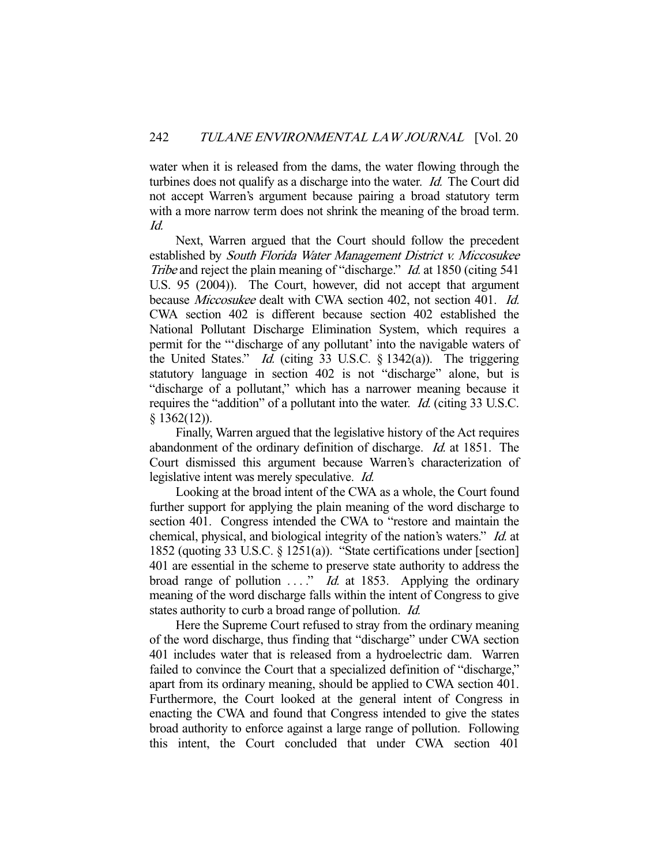water when it is released from the dams, the water flowing through the turbines does not qualify as a discharge into the water. Id. The Court did not accept Warren's argument because pairing a broad statutory term with a more narrow term does not shrink the meaning of the broad term. Id.

 Next, Warren argued that the Court should follow the precedent established by South Florida Water Management District v. Miccosukee Tribe and reject the plain meaning of "discharge." Id. at 1850 (citing 541) U.S. 95 (2004)). The Court, however, did not accept that argument because Miccosukee dealt with CWA section 402, not section 401. Id. CWA section 402 is different because section 402 established the National Pollutant Discharge Elimination System, which requires a permit for the "'discharge of any pollutant' into the navigable waters of the United States." Id. (citing 33 U.S.C. § 1342(a)). The triggering statutory language in section 402 is not "discharge" alone, but is "discharge of a pollutant," which has a narrower meaning because it requires the "addition" of a pollutant into the water. *Id.* (citing 33 U.S.C.)  $§$  1362(12)).

 Finally, Warren argued that the legislative history of the Act requires abandonment of the ordinary definition of discharge. Id. at 1851. The Court dismissed this argument because Warren's characterization of legislative intent was merely speculative. Id.

 Looking at the broad intent of the CWA as a whole, the Court found further support for applying the plain meaning of the word discharge to section 401. Congress intended the CWA to "restore and maintain the chemical, physical, and biological integrity of the nation's waters." Id. at 1852 (quoting 33 U.S.C. § 1251(a)). "State certifications under [section] 401 are essential in the scheme to preserve state authority to address the broad range of pollution  $\ldots$ " *Id.* at 1853. Applying the ordinary meaning of the word discharge falls within the intent of Congress to give states authority to curb a broad range of pollution. *Id.* 

 Here the Supreme Court refused to stray from the ordinary meaning of the word discharge, thus finding that "discharge" under CWA section 401 includes water that is released from a hydroelectric dam. Warren failed to convince the Court that a specialized definition of "discharge," apart from its ordinary meaning, should be applied to CWA section 401. Furthermore, the Court looked at the general intent of Congress in enacting the CWA and found that Congress intended to give the states broad authority to enforce against a large range of pollution. Following this intent, the Court concluded that under CWA section 401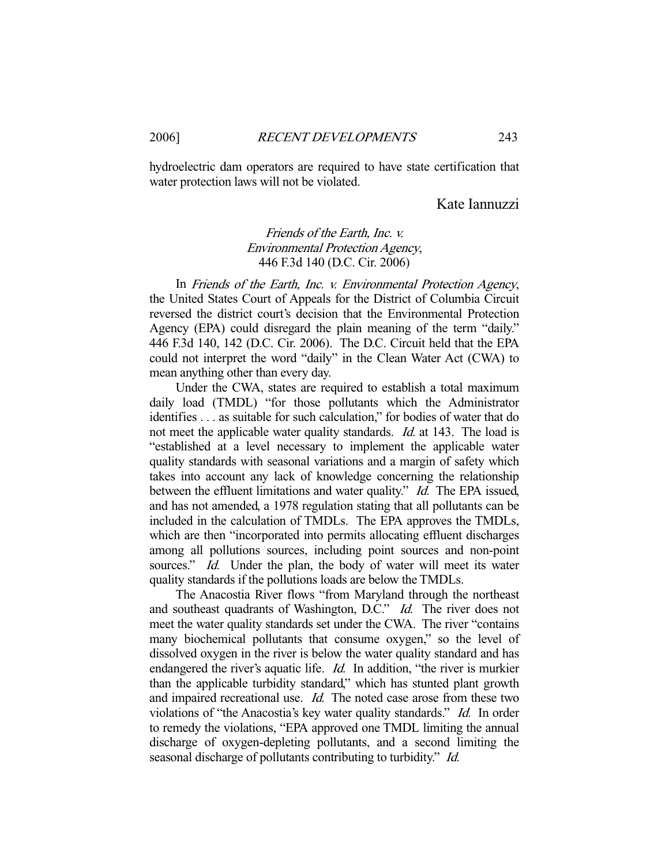hydroelectric dam operators are required to have state certification that water protection laws will not be violated.

# Kate Iannuzzi

# Friends of the Earth, Inc. v. Environmental Protection Agency, 446 F.3d 140 (D.C. Cir. 2006)

 In Friends of the Earth, Inc. v. Environmental Protection Agency, the United States Court of Appeals for the District of Columbia Circuit reversed the district court's decision that the Environmental Protection Agency (EPA) could disregard the plain meaning of the term "daily." 446 F.3d 140, 142 (D.C. Cir. 2006). The D.C. Circuit held that the EPA could not interpret the word "daily" in the Clean Water Act (CWA) to mean anything other than every day.

 Under the CWA, states are required to establish a total maximum daily load (TMDL) "for those pollutants which the Administrator identifies . . . as suitable for such calculation," for bodies of water that do not meet the applicable water quality standards. *Id.* at 143. The load is "established at a level necessary to implement the applicable water quality standards with seasonal variations and a margin of safety which takes into account any lack of knowledge concerning the relationship between the effluent limitations and water quality." *Id.* The EPA issued, and has not amended, a 1978 regulation stating that all pollutants can be included in the calculation of TMDLs. The EPA approves the TMDLs, which are then "incorporated into permits allocating effluent discharges among all pollutions sources, including point sources and non-point sources." *Id.* Under the plan, the body of water will meet its water quality standards if the pollutions loads are below the TMDLs.

 The Anacostia River flows "from Maryland through the northeast and southeast quadrants of Washington, D.C." Id. The river does not meet the water quality standards set under the CWA. The river "contains many biochemical pollutants that consume oxygen," so the level of dissolved oxygen in the river is below the water quality standard and has endangered the river's aquatic life. *Id.* In addition, "the river is murkier than the applicable turbidity standard," which has stunted plant growth and impaired recreational use. *Id.* The noted case arose from these two violations of "the Anacostia's key water quality standards." Id. In order to remedy the violations, "EPA approved one TMDL limiting the annual discharge of oxygen-depleting pollutants, and a second limiting the seasonal discharge of pollutants contributing to turbidity." *Id.*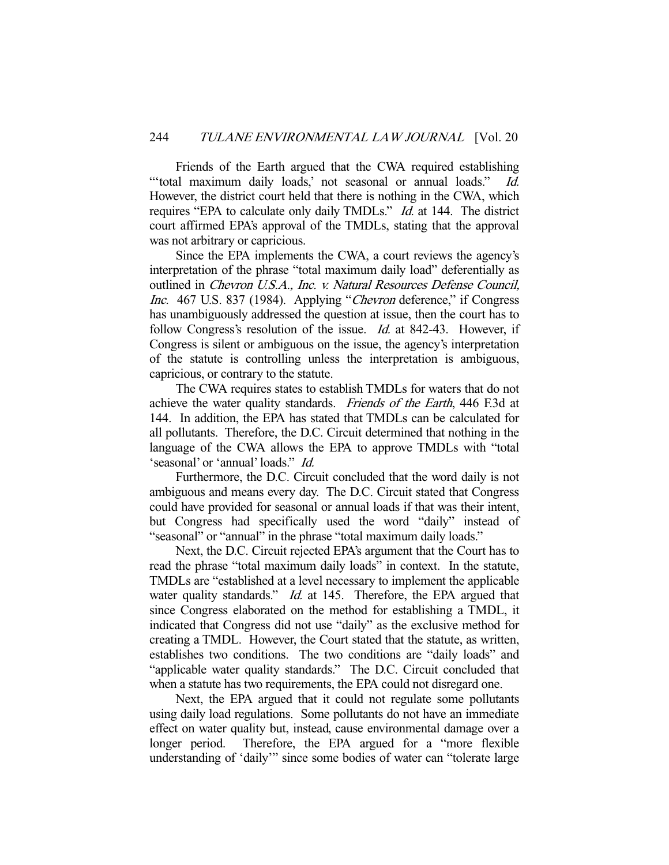Friends of the Earth argued that the CWA required establishing "total maximum daily loads,' not seasonal or annual loads." Id. However, the district court held that there is nothing in the CWA, which requires "EPA to calculate only daily TMDLs." Id. at 144. The district court affirmed EPA's approval of the TMDLs, stating that the approval was not arbitrary or capricious.

 Since the EPA implements the CWA, a court reviews the agency's interpretation of the phrase "total maximum daily load" deferentially as outlined in Chevron U.S.A., Inc. v. Natural Resources Defense Council, Inc. 467 U.S. 837 (1984). Applying "Chevron deference," if Congress has unambiguously addressed the question at issue, then the court has to follow Congress's resolution of the issue. *Id.* at 842-43. However, if Congress is silent or ambiguous on the issue, the agency's interpretation of the statute is controlling unless the interpretation is ambiguous, capricious, or contrary to the statute.

 The CWA requires states to establish TMDLs for waters that do not achieve the water quality standards. Friends of the Earth, 446 F.3d at 144. In addition, the EPA has stated that TMDLs can be calculated for all pollutants. Therefore, the D.C. Circuit determined that nothing in the language of the CWA allows the EPA to approve TMDLs with "total 'seasonal' or 'annual' loads." Id.

 Furthermore, the D.C. Circuit concluded that the word daily is not ambiguous and means every day. The D.C. Circuit stated that Congress could have provided for seasonal or annual loads if that was their intent, but Congress had specifically used the word "daily" instead of "seasonal" or "annual" in the phrase "total maximum daily loads."

 Next, the D.C. Circuit rejected EPA's argument that the Court has to read the phrase "total maximum daily loads" in context. In the statute, TMDLs are "established at a level necessary to implement the applicable water quality standards." *Id.* at 145. Therefore, the EPA argued that since Congress elaborated on the method for establishing a TMDL, it indicated that Congress did not use "daily" as the exclusive method for creating a TMDL. However, the Court stated that the statute, as written, establishes two conditions. The two conditions are "daily loads" and "applicable water quality standards." The D.C. Circuit concluded that when a statute has two requirements, the EPA could not disregard one.

 Next, the EPA argued that it could not regulate some pollutants using daily load regulations. Some pollutants do not have an immediate effect on water quality but, instead, cause environmental damage over a longer period. Therefore, the EPA argued for a "more flexible understanding of 'daily'" since some bodies of water can "tolerate large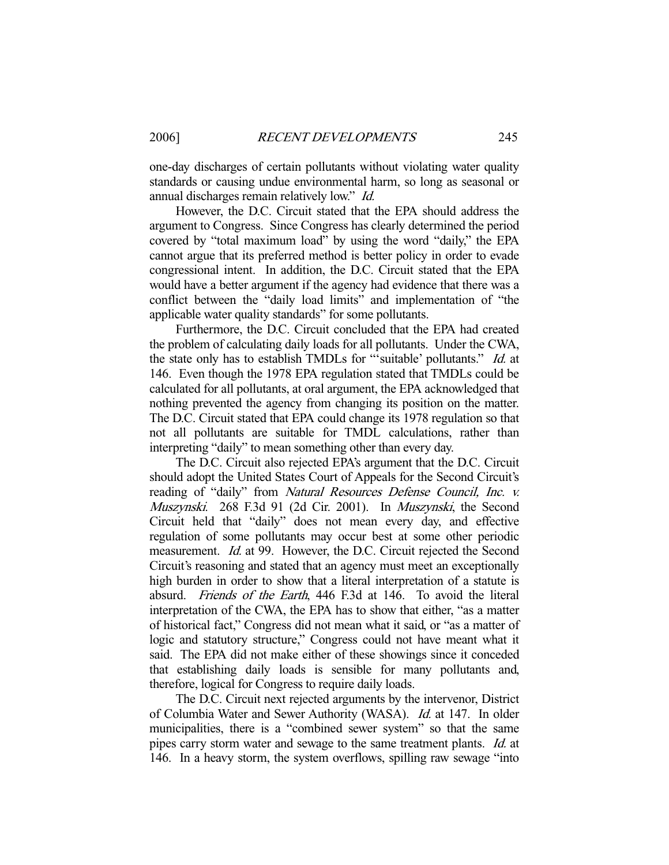one-day discharges of certain pollutants without violating water quality standards or causing undue environmental harm, so long as seasonal or annual discharges remain relatively low." Id.

 However, the D.C. Circuit stated that the EPA should address the argument to Congress. Since Congress has clearly determined the period covered by "total maximum load" by using the word "daily," the EPA cannot argue that its preferred method is better policy in order to evade congressional intent. In addition, the D.C. Circuit stated that the EPA would have a better argument if the agency had evidence that there was a conflict between the "daily load limits" and implementation of "the applicable water quality standards" for some pollutants.

 Furthermore, the D.C. Circuit concluded that the EPA had created the problem of calculating daily loads for all pollutants. Under the CWA, the state only has to establish TMDLs for "'suitable' pollutants." *Id.* at 146. Even though the 1978 EPA regulation stated that TMDLs could be calculated for all pollutants, at oral argument, the EPA acknowledged that nothing prevented the agency from changing its position on the matter. The D.C. Circuit stated that EPA could change its 1978 regulation so that not all pollutants are suitable for TMDL calculations, rather than interpreting "daily" to mean something other than every day.

 The D.C. Circuit also rejected EPA's argument that the D.C. Circuit should adopt the United States Court of Appeals for the Second Circuit's reading of "daily" from Natural Resources Defense Council, Inc. v. Muszynski. 268 F.3d 91 (2d Cir. 2001). In Muszynski, the Second Circuit held that "daily" does not mean every day, and effective regulation of some pollutants may occur best at some other periodic measurement. *Id.* at 99. However, the D.C. Circuit rejected the Second Circuit's reasoning and stated that an agency must meet an exceptionally high burden in order to show that a literal interpretation of a statute is absurd. Friends of the Earth, 446 F.3d at 146. To avoid the literal interpretation of the CWA, the EPA has to show that either, "as a matter of historical fact," Congress did not mean what it said, or "as a matter of logic and statutory structure," Congress could not have meant what it said. The EPA did not make either of these showings since it conceded that establishing daily loads is sensible for many pollutants and, therefore, logical for Congress to require daily loads.

 The D.C. Circuit next rejected arguments by the intervenor, District of Columbia Water and Sewer Authority (WASA). Id. at 147. In older municipalities, there is a "combined sewer system" so that the same pipes carry storm water and sewage to the same treatment plants. Id. at 146. In a heavy storm, the system overflows, spilling raw sewage "into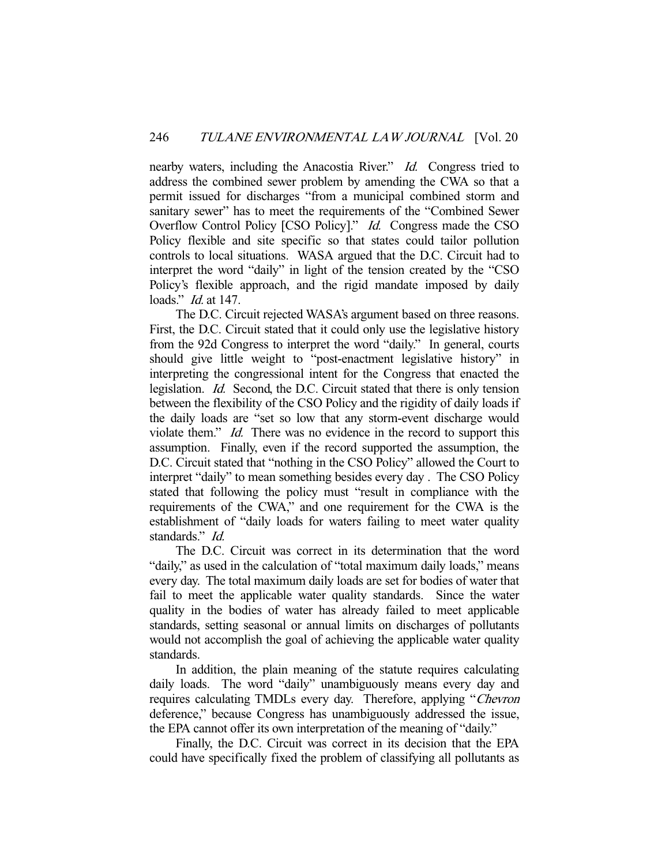nearby waters, including the Anacostia River." Id. Congress tried to address the combined sewer problem by amending the CWA so that a permit issued for discharges "from a municipal combined storm and sanitary sewer" has to meet the requirements of the "Combined Sewer Overflow Control Policy [CSO Policy]." *Id.* Congress made the CSO Policy flexible and site specific so that states could tailor pollution controls to local situations. WASA argued that the D.C. Circuit had to interpret the word "daily" in light of the tension created by the "CSO Policy's flexible approach, and the rigid mandate imposed by daily loads." *Id.* at 147.

 The D.C. Circuit rejected WASA's argument based on three reasons. First, the D.C. Circuit stated that it could only use the legislative history from the 92d Congress to interpret the word "daily." In general, courts should give little weight to "post-enactment legislative history" in interpreting the congressional intent for the Congress that enacted the legislation. Id. Second, the D.C. Circuit stated that there is only tension between the flexibility of the CSO Policy and the rigidity of daily loads if the daily loads are "set so low that any storm-event discharge would violate them." *Id.* There was no evidence in the record to support this assumption. Finally, even if the record supported the assumption, the D.C. Circuit stated that "nothing in the CSO Policy" allowed the Court to interpret "daily" to mean something besides every day . The CSO Policy stated that following the policy must "result in compliance with the requirements of the CWA," and one requirement for the CWA is the establishment of "daily loads for waters failing to meet water quality standards." *Id.* 

 The D.C. Circuit was correct in its determination that the word "daily," as used in the calculation of "total maximum daily loads," means every day. The total maximum daily loads are set for bodies of water that fail to meet the applicable water quality standards. Since the water quality in the bodies of water has already failed to meet applicable standards, setting seasonal or annual limits on discharges of pollutants would not accomplish the goal of achieving the applicable water quality standards.

 In addition, the plain meaning of the statute requires calculating daily loads. The word "daily" unambiguously means every day and requires calculating TMDLs every day. Therefore, applying "Chevron deference," because Congress has unambiguously addressed the issue, the EPA cannot offer its own interpretation of the meaning of "daily."

 Finally, the D.C. Circuit was correct in its decision that the EPA could have specifically fixed the problem of classifying all pollutants as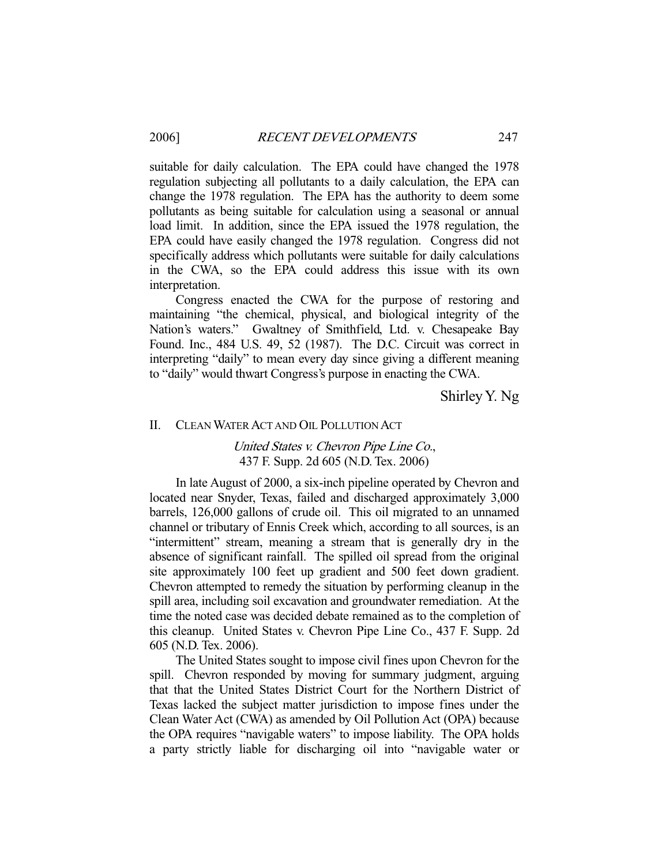suitable for daily calculation. The EPA could have changed the 1978 regulation subjecting all pollutants to a daily calculation, the EPA can change the 1978 regulation. The EPA has the authority to deem some pollutants as being suitable for calculation using a seasonal or annual load limit. In addition, since the EPA issued the 1978 regulation, the EPA could have easily changed the 1978 regulation. Congress did not specifically address which pollutants were suitable for daily calculations in the CWA, so the EPA could address this issue with its own interpretation.

 Congress enacted the CWA for the purpose of restoring and maintaining "the chemical, physical, and biological integrity of the Nation's waters." Gwaltney of Smithfield, Ltd. v. Chesapeake Bay Found. Inc., 484 U.S. 49, 52 (1987). The D.C. Circuit was correct in interpreting "daily" to mean every day since giving a different meaning to "daily" would thwart Congress's purpose in enacting the CWA.

Shirley Y. Ng

#### II. CLEAN WATER ACT AND OIL POLLUTION ACT

United States v. Chevron Pipe Line Co., 437 F. Supp. 2d 605 (N.D. Tex. 2006)

 In late August of 2000, a six-inch pipeline operated by Chevron and located near Snyder, Texas, failed and discharged approximately 3,000 barrels, 126,000 gallons of crude oil. This oil migrated to an unnamed channel or tributary of Ennis Creek which, according to all sources, is an "intermittent" stream, meaning a stream that is generally dry in the absence of significant rainfall. The spilled oil spread from the original site approximately 100 feet up gradient and 500 feet down gradient. Chevron attempted to remedy the situation by performing cleanup in the spill area, including soil excavation and groundwater remediation. At the time the noted case was decided debate remained as to the completion of this cleanup. United States v. Chevron Pipe Line Co., 437 F. Supp. 2d 605 (N.D. Tex. 2006).

 The United States sought to impose civil fines upon Chevron for the spill. Chevron responded by moving for summary judgment, arguing that that the United States District Court for the Northern District of Texas lacked the subject matter jurisdiction to impose fines under the Clean Water Act (CWA) as amended by Oil Pollution Act (OPA) because the OPA requires "navigable waters" to impose liability. The OPA holds a party strictly liable for discharging oil into "navigable water or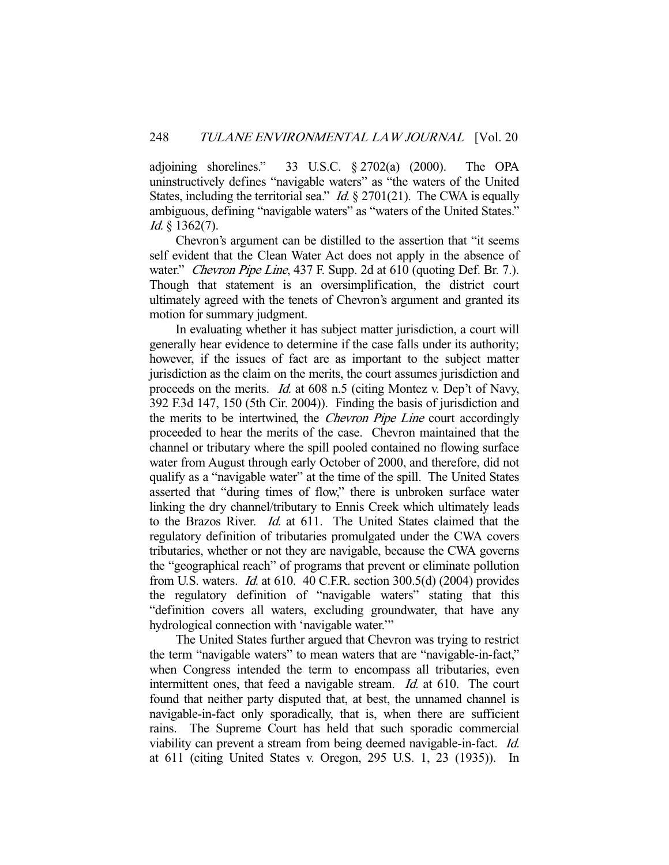adjoining shorelines." 33 U.S.C. § 2702(a) (2000). The OPA uninstructively defines "navigable waters" as "the waters of the United States, including the territorial sea." *Id.*  $\S 2701(21)$ . The CWA is equally ambiguous, defining "navigable waters" as "waters of the United States." Id. § 1362(7).

 Chevron's argument can be distilled to the assertion that "it seems self evident that the Clean Water Act does not apply in the absence of water." Chevron Pipe Line, 437 F. Supp. 2d at 610 (quoting Def. Br. 7.). Though that statement is an oversimplification, the district court ultimately agreed with the tenets of Chevron's argument and granted its motion for summary judgment.

 In evaluating whether it has subject matter jurisdiction, a court will generally hear evidence to determine if the case falls under its authority; however, if the issues of fact are as important to the subject matter jurisdiction as the claim on the merits, the court assumes jurisdiction and proceeds on the merits. Id. at 608 n.5 (citing Montez v. Dep't of Navy, 392 F.3d 147, 150 (5th Cir. 2004)). Finding the basis of jurisdiction and the merits to be intertwined, the *Chevron Pipe Line* court accordingly proceeded to hear the merits of the case. Chevron maintained that the channel or tributary where the spill pooled contained no flowing surface water from August through early October of 2000, and therefore, did not qualify as a "navigable water" at the time of the spill. The United States asserted that "during times of flow," there is unbroken surface water linking the dry channel/tributary to Ennis Creek which ultimately leads to the Brazos River. Id. at 611. The United States claimed that the regulatory definition of tributaries promulgated under the CWA covers tributaries, whether or not they are navigable, because the CWA governs the "geographical reach" of programs that prevent or eliminate pollution from U.S. waters. Id. at 610. 40 C.F.R. section 300.5(d) (2004) provides the regulatory definition of "navigable waters" stating that this "definition covers all waters, excluding groundwater, that have any hydrological connection with 'navigable water.'"

 The United States further argued that Chevron was trying to restrict the term "navigable waters" to mean waters that are "navigable-in-fact," when Congress intended the term to encompass all tributaries, even intermittent ones, that feed a navigable stream. Id. at 610. The court found that neither party disputed that, at best, the unnamed channel is navigable-in-fact only sporadically, that is, when there are sufficient rains. The Supreme Court has held that such sporadic commercial viability can prevent a stream from being deemed navigable-in-fact. Id. at 611 (citing United States v. Oregon, 295 U.S. 1, 23 (1935)). In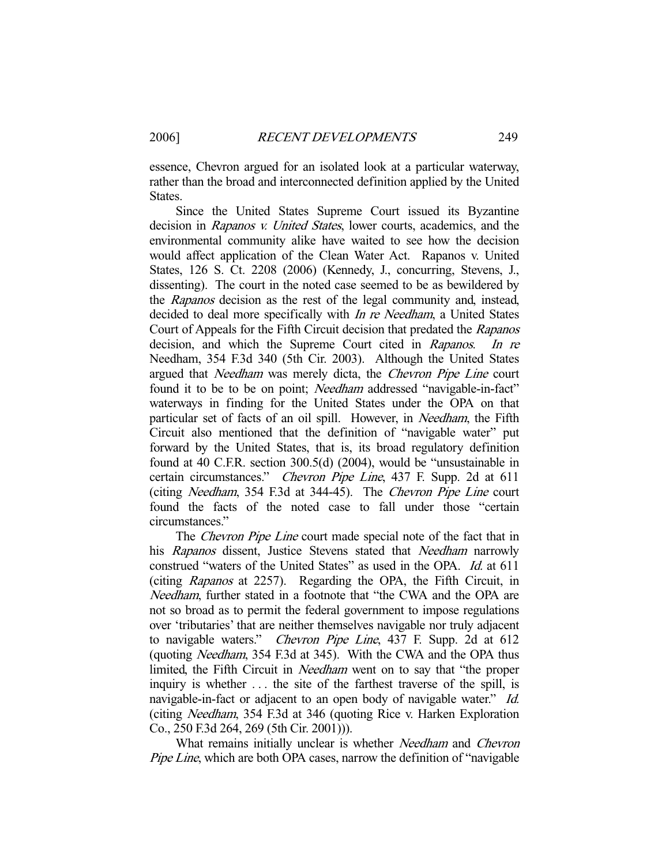essence, Chevron argued for an isolated look at a particular waterway, rather than the broad and interconnected definition applied by the United States.

 Since the United States Supreme Court issued its Byzantine decision in Rapanos v. United States, lower courts, academics, and the environmental community alike have waited to see how the decision would affect application of the Clean Water Act. Rapanos v. United States, 126 S. Ct. 2208 (2006) (Kennedy, J., concurring, Stevens, J., dissenting). The court in the noted case seemed to be as bewildered by the Rapanos decision as the rest of the legal community and, instead, decided to deal more specifically with *In re Needham*, a United States Court of Appeals for the Fifth Circuit decision that predated the Rapanos decision, and which the Supreme Court cited in Rapanos. In re Needham, 354 F.3d 340 (5th Cir. 2003). Although the United States argued that Needham was merely dicta, the Chevron Pipe Line court found it to be to be on point; *Needham* addressed "navigable-in-fact" waterways in finding for the United States under the OPA on that particular set of facts of an oil spill. However, in *Needham*, the Fifth Circuit also mentioned that the definition of "navigable water" put forward by the United States, that is, its broad regulatory definition found at 40 C.F.R. section 300.5(d) (2004), would be "unsustainable in certain circumstances." Chevron Pipe Line, 437 F. Supp. 2d at 611 (citing Needham, 354 F.3d at 344-45). The Chevron Pipe Line court found the facts of the noted case to fall under those "certain circumstances."

The *Chevron Pipe Line* court made special note of the fact that in his Rapanos dissent, Justice Stevens stated that *Needham* narrowly construed "waters of the United States" as used in the OPA. Id. at 611 (citing Rapanos at 2257). Regarding the OPA, the Fifth Circuit, in Needham, further stated in a footnote that "the CWA and the OPA are not so broad as to permit the federal government to impose regulations over 'tributaries' that are neither themselves navigable nor truly adjacent to navigable waters." Chevron Pipe Line, 437 F. Supp. 2d at 612 (quoting Needham, 354 F.3d at 345). With the CWA and the OPA thus limited, the Fifth Circuit in Needham went on to say that "the proper inquiry is whether . . . the site of the farthest traverse of the spill, is navigable-in-fact or adjacent to an open body of navigable water." *Id.* (citing Needham, 354 F.3d at 346 (quoting Rice v. Harken Exploration Co., 250 F.3d 264, 269 (5th Cir. 2001))).

What remains initially unclear is whether Needham and Chevron Pipe Line, which are both OPA cases, narrow the definition of "navigable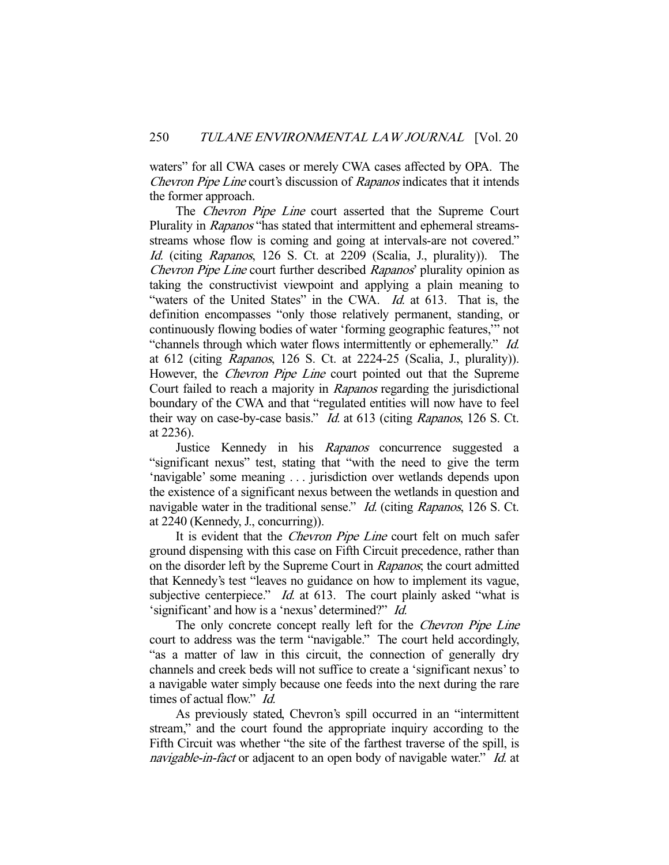waters" for all CWA cases or merely CWA cases affected by OPA. The Chevron Pipe Line court's discussion of Rapanos indicates that it intends the former approach.

The *Chevron Pipe Line* court asserted that the Supreme Court Plurality in Rapanos "has stated that intermittent and ephemeral streamsstreams whose flow is coming and going at intervals-are not covered." Id. (citing Rapanos, 126 S. Ct. at 2209 (Scalia, J., plurality)). The Chevron Pipe Line court further described Rapanos' plurality opinion as taking the constructivist viewpoint and applying a plain meaning to "waters of the United States" in the CWA. Id. at 613. That is, the definition encompasses "only those relatively permanent, standing, or continuously flowing bodies of water 'forming geographic features,'" not "channels through which water flows intermittently or ephemerally." Id. at 612 (citing Rapanos, 126 S. Ct. at 2224-25 (Scalia, J., plurality)). However, the *Chevron Pipe Line* court pointed out that the Supreme Court failed to reach a majority in Rapanos regarding the jurisdictional boundary of the CWA and that "regulated entities will now have to feel their way on case-by-case basis." Id. at 613 (citing Rapanos, 126 S. Ct. at 2236).

Justice Kennedy in his Rapanos concurrence suggested a "significant nexus" test, stating that "with the need to give the term 'navigable' some meaning . . . jurisdiction over wetlands depends upon the existence of a significant nexus between the wetlands in question and navigable water in the traditional sense." *Id.* (citing Rapanos, 126 S. Ct. at 2240 (Kennedy, J., concurring)).

It is evident that the *Chevron Pipe Line* court felt on much safer ground dispensing with this case on Fifth Circuit precedence, rather than on the disorder left by the Supreme Court in Rapanos; the court admitted that Kennedy's test "leaves no guidance on how to implement its vague, subjective centerpiece."  $Id$  at 613. The court plainly asked "what is 'significant' and how is a 'nexus' determined?" Id.

The only concrete concept really left for the *Chevron Pipe Line* court to address was the term "navigable." The court held accordingly, "as a matter of law in this circuit, the connection of generally dry channels and creek beds will not suffice to create a 'significant nexus' to a navigable water simply because one feeds into the next during the rare times of actual flow." Id.

 As previously stated, Chevron's spill occurred in an "intermittent stream," and the court found the appropriate inquiry according to the Fifth Circuit was whether "the site of the farthest traverse of the spill, is navigable-in-fact or adjacent to an open body of navigable water." Id. at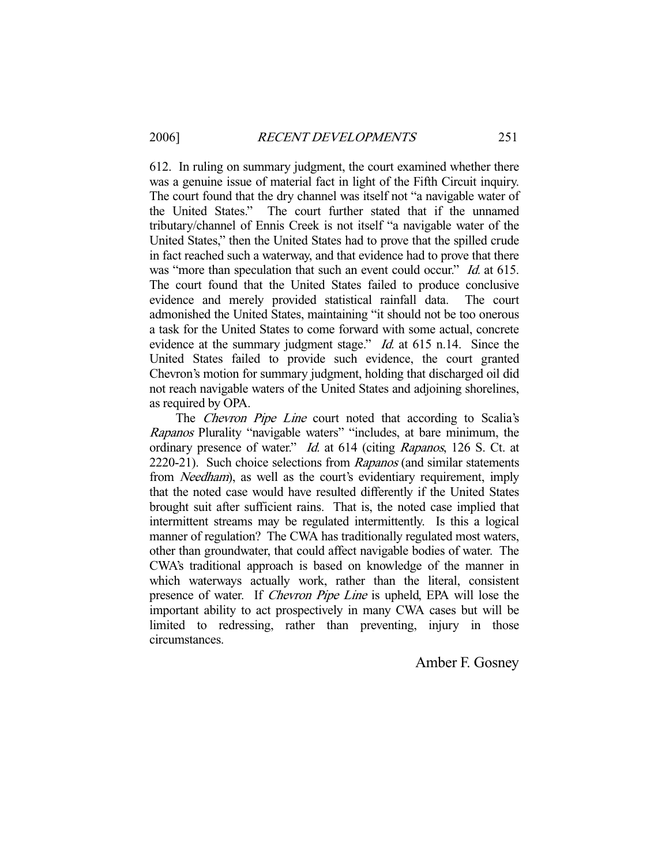612. In ruling on summary judgment, the court examined whether there was a genuine issue of material fact in light of the Fifth Circuit inquiry. The court found that the dry channel was itself not "a navigable water of the United States." The court further stated that if the unnamed tributary/channel of Ennis Creek is not itself "a navigable water of the United States," then the United States had to prove that the spilled crude in fact reached such a waterway, and that evidence had to prove that there was "more than speculation that such an event could occur." *Id.* at 615. The court found that the United States failed to produce conclusive evidence and merely provided statistical rainfall data. The court admonished the United States, maintaining "it should not be too onerous a task for the United States to come forward with some actual, concrete evidence at the summary judgment stage." *Id.* at 615 n.14. Since the United States failed to provide such evidence, the court granted Chevron's motion for summary judgment, holding that discharged oil did not reach navigable waters of the United States and adjoining shorelines, as required by OPA.

The Chevron Pipe Line court noted that according to Scalia's Rapanos Plurality "navigable waters" "includes, at bare minimum, the ordinary presence of water." Id. at 614 (citing Rapanos, 126 S. Ct. at 2220-21). Such choice selections from Rapanos (and similar statements from *Needham*), as well as the court's evidentiary requirement, imply that the noted case would have resulted differently if the United States brought suit after sufficient rains. That is, the noted case implied that intermittent streams may be regulated intermittently. Is this a logical manner of regulation? The CWA has traditionally regulated most waters, other than groundwater, that could affect navigable bodies of water. The CWA's traditional approach is based on knowledge of the manner in which waterways actually work, rather than the literal, consistent presence of water. If *Chevron Pipe Line* is upheld, EPA will lose the important ability to act prospectively in many CWA cases but will be limited to redressing, rather than preventing, injury in those circumstances.

# Amber F. Gosney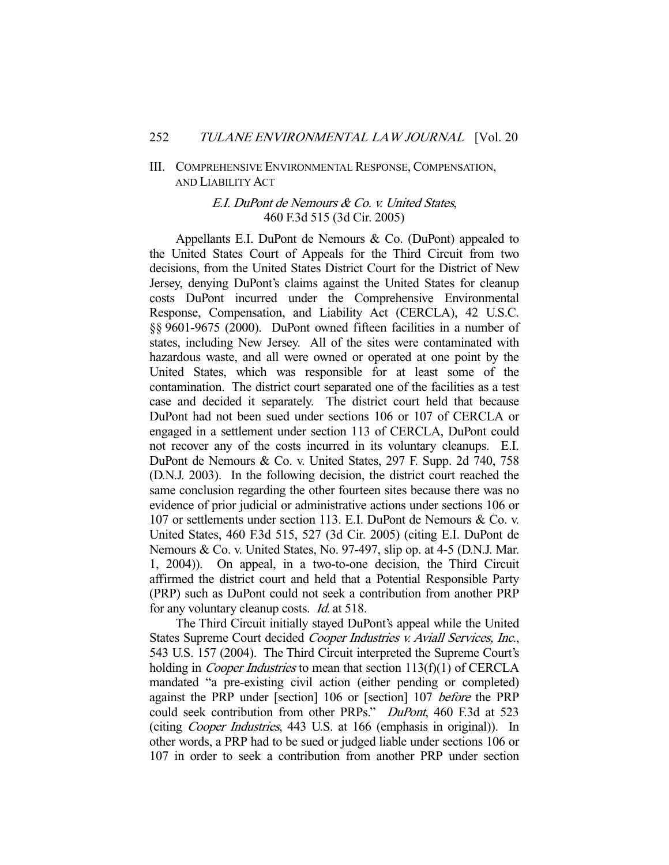#### III. COMPREHENSIVE ENVIRONMENTAL RESPONSE, COMPENSATION, AND LIABILITY ACT

### E.I. DuPont de Nemours & Co. v. United States, 460 F.3d 515 (3d Cir. 2005)

 Appellants E.I. DuPont de Nemours & Co. (DuPont) appealed to the United States Court of Appeals for the Third Circuit from two decisions, from the United States District Court for the District of New Jersey, denying DuPont's claims against the United States for cleanup costs DuPont incurred under the Comprehensive Environmental Response, Compensation, and Liability Act (CERCLA), 42 U.S.C. §§ 9601-9675 (2000). DuPont owned fifteen facilities in a number of states, including New Jersey. All of the sites were contaminated with hazardous waste, and all were owned or operated at one point by the United States, which was responsible for at least some of the contamination. The district court separated one of the facilities as a test case and decided it separately. The district court held that because DuPont had not been sued under sections 106 or 107 of CERCLA or engaged in a settlement under section 113 of CERCLA, DuPont could not recover any of the costs incurred in its voluntary cleanups. E.I. DuPont de Nemours & Co. v. United States, 297 F. Supp. 2d 740, 758 (D.N.J. 2003). In the following decision, the district court reached the same conclusion regarding the other fourteen sites because there was no evidence of prior judicial or administrative actions under sections 106 or 107 or settlements under section 113. E.I. DuPont de Nemours & Co. v. United States, 460 F.3d 515, 527 (3d Cir. 2005) (citing E.I. DuPont de Nemours & Co. v. United States, No. 97-497, slip op. at 4-5 (D.N.J. Mar. 1, 2004)). On appeal, in a two-to-one decision, the Third Circuit affirmed the district court and held that a Potential Responsible Party (PRP) such as DuPont could not seek a contribution from another PRP for any voluntary cleanup costs. Id. at 518.

 The Third Circuit initially stayed DuPont's appeal while the United States Supreme Court decided Cooper Industries v. Aviall Services, Inc., 543 U.S. 157 (2004). The Third Circuit interpreted the Supreme Court's holding in *Cooper Industries* to mean that section 113(f)(1) of CERCLA mandated "a pre-existing civil action (either pending or completed) against the PRP under [section] 106 or [section] 107 before the PRP could seek contribution from other PRPs." DuPont, 460 F.3d at 523 (citing Cooper Industries, 443 U.S. at 166 (emphasis in original)). In other words, a PRP had to be sued or judged liable under sections 106 or 107 in order to seek a contribution from another PRP under section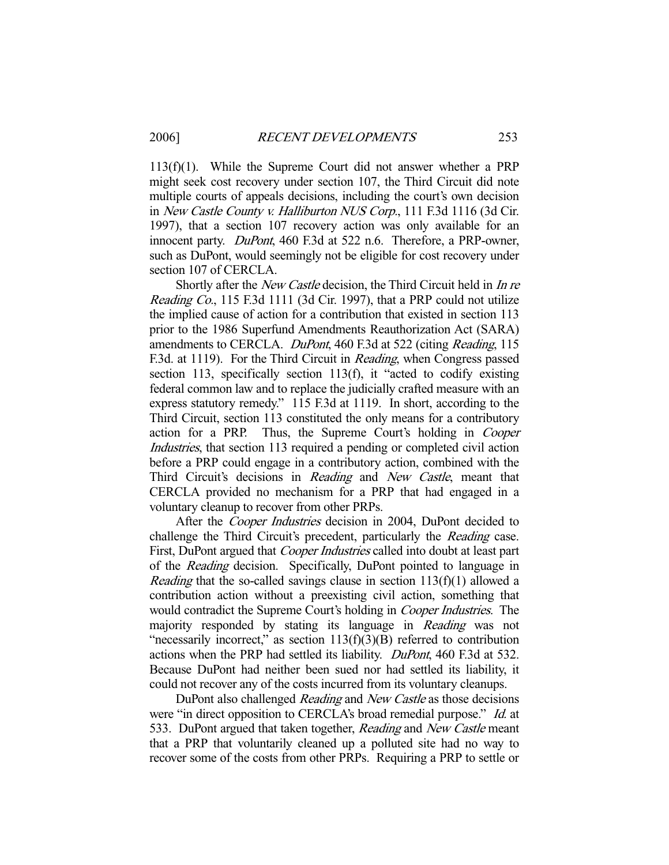113(f)(1). While the Supreme Court did not answer whether a PRP might seek cost recovery under section 107, the Third Circuit did note multiple courts of appeals decisions, including the court's own decision in New Castle County v. Halliburton NUS Corp., 111 F.3d 1116 (3d Cir. 1997), that a section 107 recovery action was only available for an innocent party. DuPont, 460 F.3d at 522 n.6. Therefore, a PRP-owner, such as DuPont, would seemingly not be eligible for cost recovery under section 107 of CERCLA.

Shortly after the *New Castle* decision, the Third Circuit held in *In re* Reading Co., 115 F.3d 1111 (3d Cir. 1997), that a PRP could not utilize the implied cause of action for a contribution that existed in section 113 prior to the 1986 Superfund Amendments Reauthorization Act (SARA) amendments to CERCLA. DuPont, 460 F.3d at 522 (citing Reading, 115) F.3d. at 1119). For the Third Circuit in *Reading*, when Congress passed section 113, specifically section 113(f), it "acted to codify existing federal common law and to replace the judicially crafted measure with an express statutory remedy." 115 F.3d at 1119. In short, according to the Third Circuit, section 113 constituted the only means for a contributory action for a PRP. Thus, the Supreme Court's holding in Cooper Industries, that section 113 required a pending or completed civil action before a PRP could engage in a contributory action, combined with the Third Circuit's decisions in Reading and New Castle, meant that CERCLA provided no mechanism for a PRP that had engaged in a voluntary cleanup to recover from other PRPs.

After the *Cooper Industries* decision in 2004, DuPont decided to challenge the Third Circuit's precedent, particularly the Reading case. First, DuPont argued that *Cooper Industries* called into doubt at least part of the Reading decision. Specifically, DuPont pointed to language in *Reading* that the so-called savings clause in section  $113(f)(1)$  allowed a contribution action without a preexisting civil action, something that would contradict the Supreme Court's holding in Cooper Industries. The majority responded by stating its language in Reading was not "necessarily incorrect," as section  $113(f)(3)(B)$  referred to contribution actions when the PRP had settled its liability. DuPont, 460 F.3d at 532. Because DuPont had neither been sued nor had settled its liability, it could not recover any of the costs incurred from its voluntary cleanups.

DuPont also challenged Reading and New Castle as those decisions were "in direct opposition to CERCLA's broad remedial purpose." Id. at 533. DuPont argued that taken together, Reading and New Castle meant that a PRP that voluntarily cleaned up a polluted site had no way to recover some of the costs from other PRPs. Requiring a PRP to settle or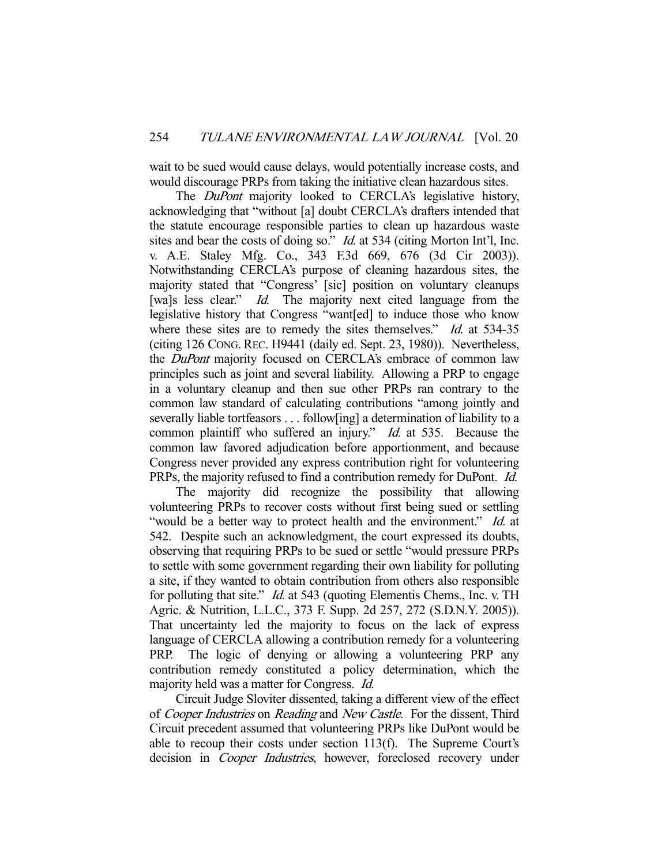wait to be sued would cause delays, would potentially increase costs, and would discourage PRPs from taking the initiative clean hazardous sites.

The DuPont majority looked to CERCLA's legislative history, acknowledging that "without [a] doubt CERCLA's drafters intended that the statute encourage responsible parties to clean up hazardous waste sites and bear the costs of doing so." *Id.* at 534 (citing Morton Int'l, Inc. v. A.E. Staley Mfg. Co., 343 F.3d 669, 676 (3d Cir 2003)). Notwithstanding CERCLA's purpose of cleaning hazardous sites, the majority stated that "Congress' [sic] position on voluntary cleanups [wa]s less clear." *Id.* The majority next cited language from the legislative history that Congress "want[ed] to induce those who know where these sites are to remedy the sites themselves." Id. at 534-35 (citing 126 CONG. REC. H9441 (daily ed. Sept. 23, 1980)). Nevertheless, the *DuPont* majority focused on CERCLA's embrace of common law principles such as joint and several liability. Allowing a PRP to engage in a voluntary cleanup and then sue other PRPs ran contrary to the common law standard of calculating contributions "among jointly and severally liable tortfeasors . . . follow[ing] a determination of liability to a common plaintiff who suffered an injury." *Id.* at 535. Because the common law favored adjudication before apportionment, and because Congress never provided any express contribution right for volunteering PRPs, the majority refused to find a contribution remedy for DuPont. Id.

 The majority did recognize the possibility that allowing volunteering PRPs to recover costs without first being sued or settling "would be a better way to protect health and the environment." Id. at 542. Despite such an acknowledgment, the court expressed its doubts, observing that requiring PRPs to be sued or settle "would pressure PRPs to settle with some government regarding their own liability for polluting a site, if they wanted to obtain contribution from others also responsible for polluting that site." *Id.* at 543 (quoting Elementis Chems., Inc. v. TH Agric. & Nutrition, L.L.C., 373 F. Supp. 2d 257, 272 (S.D.N.Y. 2005)). That uncertainty led the majority to focus on the lack of express language of CERCLA allowing a contribution remedy for a volunteering PRP. The logic of denying or allowing a volunteering PRP any contribution remedy constituted a policy determination, which the majority held was a matter for Congress. Id.

 Circuit Judge Sloviter dissented, taking a different view of the effect of Cooper Industries on Reading and New Castle. For the dissent, Third Circuit precedent assumed that volunteering PRPs like DuPont would be able to recoup their costs under section 113(f). The Supreme Court's decision in *Cooper Industries*, however, foreclosed recovery under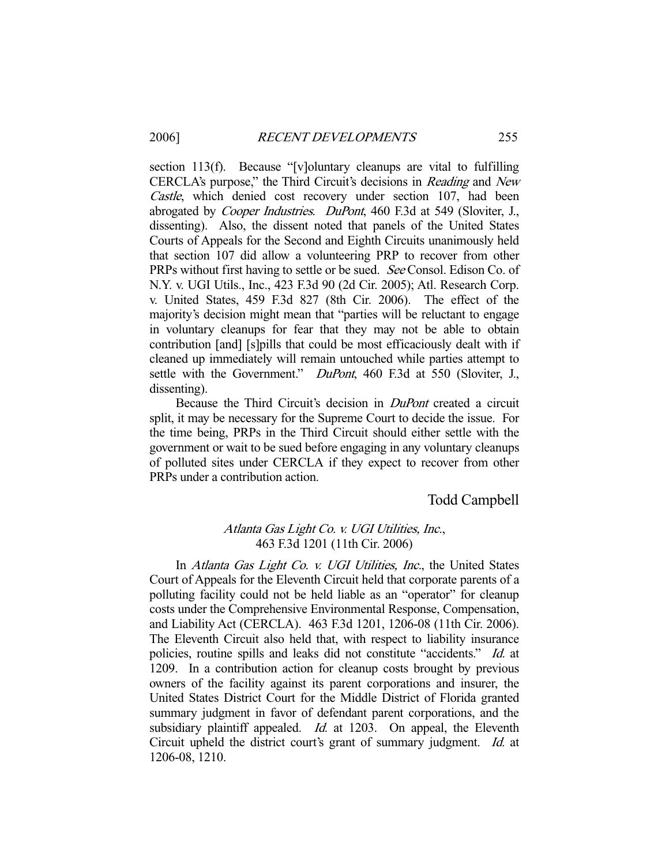section 113(f). Because "[v]oluntary cleanups are vital to fulfilling CERCLA's purpose," the Third Circuit's decisions in Reading and New Castle, which denied cost recovery under section 107, had been abrogated by Cooper Industries. DuPont, 460 F.3d at 549 (Sloviter, J., dissenting). Also, the dissent noted that panels of the United States Courts of Appeals for the Second and Eighth Circuits unanimously held that section 107 did allow a volunteering PRP to recover from other PRPs without first having to settle or be sued. See Consol. Edison Co. of N.Y. v. UGI Utils., Inc., 423 F.3d 90 (2d Cir. 2005); Atl. Research Corp. v. United States, 459 F.3d 827 (8th Cir. 2006). The effect of the majority's decision might mean that "parties will be reluctant to engage in voluntary cleanups for fear that they may not be able to obtain contribution [and] [s]pills that could be most efficaciously dealt with if cleaned up immediately will remain untouched while parties attempt to settle with the Government." *DuPont*, 460 F.3d at 550 (Sloviter, J., dissenting).

 Because the Third Circuit's decision in DuPont created a circuit split, it may be necessary for the Supreme Court to decide the issue. For the time being, PRPs in the Third Circuit should either settle with the government or wait to be sued before engaging in any voluntary cleanups of polluted sites under CERCLA if they expect to recover from other PRPs under a contribution action.

# Todd Campbell

# Atlanta Gas Light Co. v. UGI Utilities, Inc., 463 F.3d 1201 (11th Cir. 2006)

In Atlanta Gas Light Co. v. UGI Utilities, Inc., the United States Court of Appeals for the Eleventh Circuit held that corporate parents of a polluting facility could not be held liable as an "operator" for cleanup costs under the Comprehensive Environmental Response, Compensation, and Liability Act (CERCLA). 463 F.3d 1201, 1206-08 (11th Cir. 2006). The Eleventh Circuit also held that, with respect to liability insurance policies, routine spills and leaks did not constitute "accidents." Id. at 1209. In a contribution action for cleanup costs brought by previous owners of the facility against its parent corporations and insurer, the United States District Court for the Middle District of Florida granted summary judgment in favor of defendant parent corporations, and the subsidiary plaintiff appealed. *Id.* at 1203. On appeal, the Eleventh Circuit upheld the district court's grant of summary judgment. Id. at 1206-08, 1210.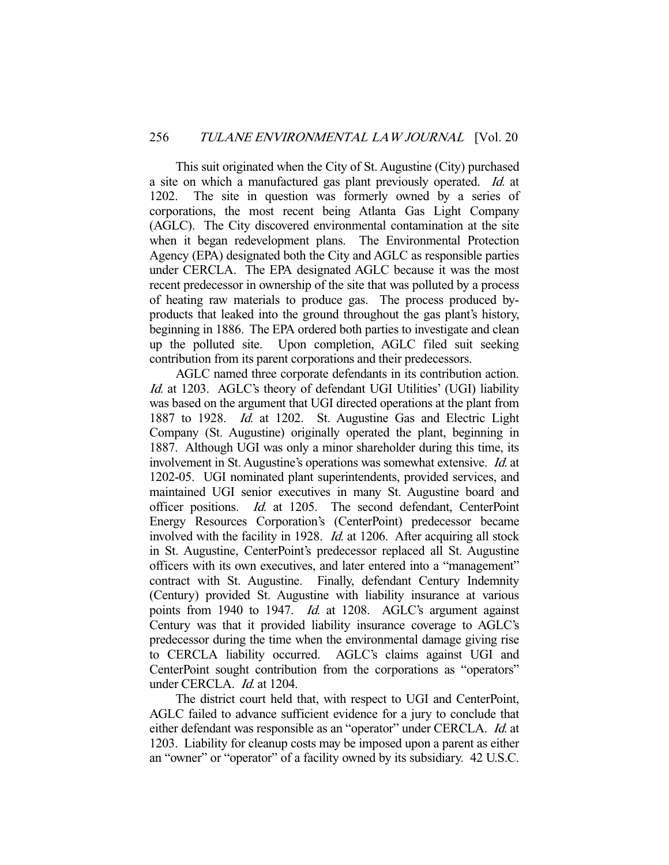This suit originated when the City of St. Augustine (City) purchased a site on which a manufactured gas plant previously operated. Id. at 1202. The site in question was formerly owned by a series of corporations, the most recent being Atlanta Gas Light Company (AGLC). The City discovered environmental contamination at the site when it began redevelopment plans. The Environmental Protection Agency (EPA) designated both the City and AGLC as responsible parties under CERCLA. The EPA designated AGLC because it was the most recent predecessor in ownership of the site that was polluted by a process of heating raw materials to produce gas. The process produced byproducts that leaked into the ground throughout the gas plant's history, beginning in 1886. The EPA ordered both parties to investigate and clean up the polluted site. Upon completion, AGLC filed suit seeking contribution from its parent corporations and their predecessors.

 AGLC named three corporate defendants in its contribution action. Id. at 1203. AGLC's theory of defendant UGI Utilities' (UGI) liability was based on the argument that UGI directed operations at the plant from 1887 to 1928. Id. at 1202. St. Augustine Gas and Electric Light Company (St. Augustine) originally operated the plant, beginning in 1887. Although UGI was only a minor shareholder during this time, its involvement in St. Augustine's operations was somewhat extensive. Id. at 1202-05. UGI nominated plant superintendents, provided services, and maintained UGI senior executives in many St. Augustine board and officer positions. Id. at 1205. The second defendant, CenterPoint Energy Resources Corporation's (CenterPoint) predecessor became involved with the facility in 1928. Id. at 1206. After acquiring all stock in St. Augustine, CenterPoint's predecessor replaced all St. Augustine officers with its own executives, and later entered into a "management" contract with St. Augustine. Finally, defendant Century Indemnity (Century) provided St. Augustine with liability insurance at various points from 1940 to 1947. *Id.* at 1208. AGLC's argument against Century was that it provided liability insurance coverage to AGLC's predecessor during the time when the environmental damage giving rise to CERCLA liability occurred. AGLC's claims against UGI and CenterPoint sought contribution from the corporations as "operators" under CERCLA. *Id.* at 1204.

 The district court held that, with respect to UGI and CenterPoint, AGLC failed to advance sufficient evidence for a jury to conclude that either defendant was responsible as an "operator" under CERCLA. Id. at 1203. Liability for cleanup costs may be imposed upon a parent as either an "owner" or "operator" of a facility owned by its subsidiary. 42 U.S.C.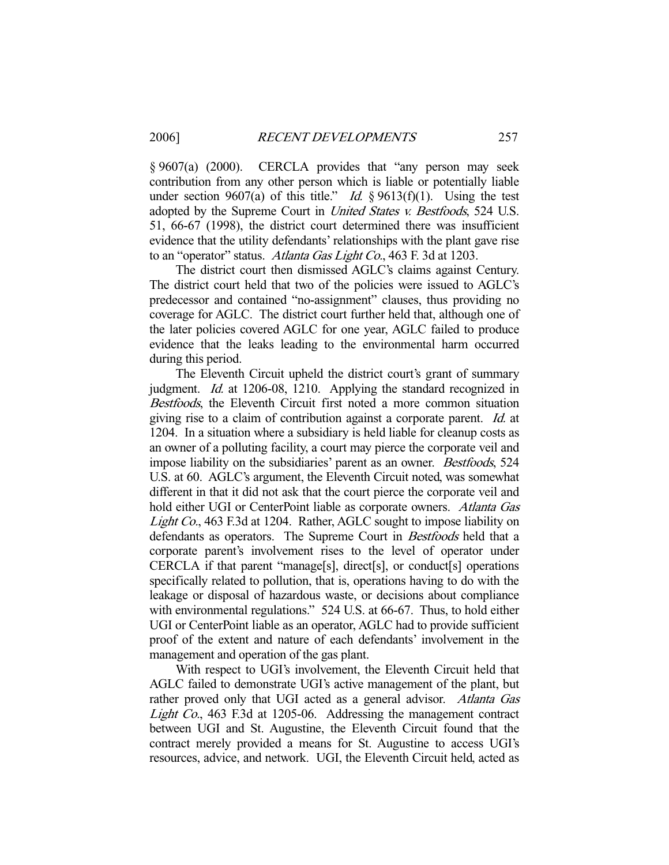§ 9607(a) (2000). CERCLA provides that "any person may seek contribution from any other person which is liable or potentially liable under section 9607(a) of this title." *Id.*  $\S$  9613(f)(1). Using the test adopted by the Supreme Court in United States v. Bestfoods, 524 U.S. 51, 66-67 (1998), the district court determined there was insufficient evidence that the utility defendants' relationships with the plant gave rise to an "operator" status. Atlanta Gas Light Co., 463 F. 3d at 1203.

 The district court then dismissed AGLC's claims against Century. The district court held that two of the policies were issued to AGLC's predecessor and contained "no-assignment" clauses, thus providing no coverage for AGLC. The district court further held that, although one of the later policies covered AGLC for one year, AGLC failed to produce evidence that the leaks leading to the environmental harm occurred during this period.

 The Eleventh Circuit upheld the district court's grant of summary judgment. Id. at 1206-08, 1210. Applying the standard recognized in Bestfoods, the Eleventh Circuit first noted a more common situation giving rise to a claim of contribution against a corporate parent. Id. at 1204. In a situation where a subsidiary is held liable for cleanup costs as an owner of a polluting facility, a court may pierce the corporate veil and impose liability on the subsidiaries' parent as an owner. Bestfoods, 524 U.S. at 60. AGLC's argument, the Eleventh Circuit noted, was somewhat different in that it did not ask that the court pierce the corporate veil and hold either UGI or CenterPoint liable as corporate owners. Atlanta Gas Light Co., 463 F.3d at 1204. Rather, AGLC sought to impose liability on defendants as operators. The Supreme Court in Bestfoods held that a corporate parent's involvement rises to the level of operator under CERCLA if that parent "manage[s], direct[s], or conduct[s] operations specifically related to pollution, that is, operations having to do with the leakage or disposal of hazardous waste, or decisions about compliance with environmental regulations." 524 U.S. at 66-67. Thus, to hold either UGI or CenterPoint liable as an operator, AGLC had to provide sufficient proof of the extent and nature of each defendants' involvement in the management and operation of the gas plant.

 With respect to UGI's involvement, the Eleventh Circuit held that AGLC failed to demonstrate UGI's active management of the plant, but rather proved only that UGI acted as a general advisor. Atlanta Gas Light Co., 463 F.3d at 1205-06. Addressing the management contract between UGI and St. Augustine, the Eleventh Circuit found that the contract merely provided a means for St. Augustine to access UGI's resources, advice, and network. UGI, the Eleventh Circuit held, acted as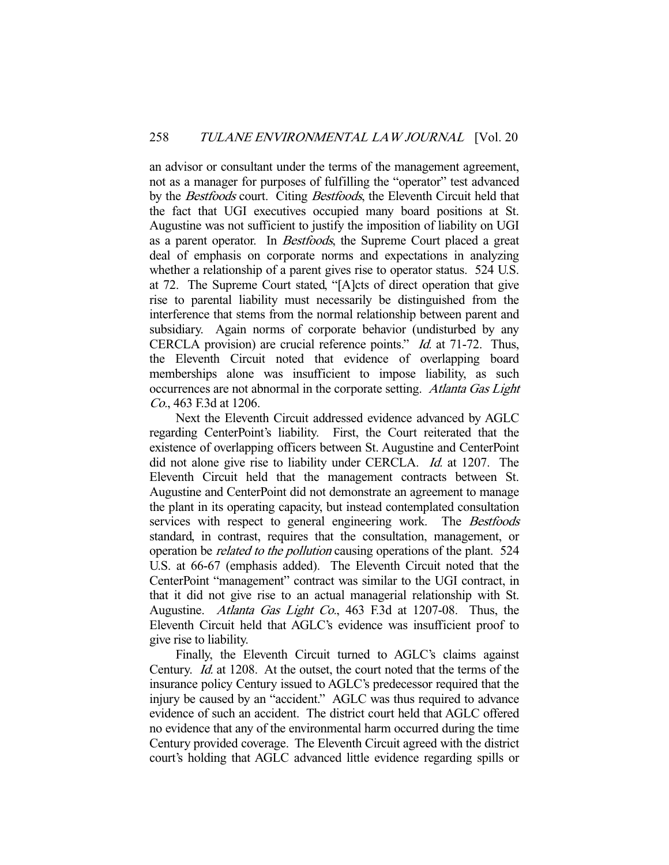an advisor or consultant under the terms of the management agreement, not as a manager for purposes of fulfilling the "operator" test advanced by the Bestfoods court. Citing Bestfoods, the Eleventh Circuit held that the fact that UGI executives occupied many board positions at St. Augustine was not sufficient to justify the imposition of liability on UGI as a parent operator. In Bestfoods, the Supreme Court placed a great deal of emphasis on corporate norms and expectations in analyzing whether a relationship of a parent gives rise to operator status. 524 U.S. at 72. The Supreme Court stated, "[A]cts of direct operation that give rise to parental liability must necessarily be distinguished from the interference that stems from the normal relationship between parent and subsidiary. Again norms of corporate behavior (undisturbed by any CERCLA provision) are crucial reference points." Id. at 71-72. Thus, the Eleventh Circuit noted that evidence of overlapping board memberships alone was insufficient to impose liability, as such occurrences are not abnormal in the corporate setting. Atlanta Gas Light Co., 463 F.3d at 1206.

 Next the Eleventh Circuit addressed evidence advanced by AGLC regarding CenterPoint's liability. First, the Court reiterated that the existence of overlapping officers between St. Augustine and CenterPoint did not alone give rise to liability under CERCLA. *Id.* at 1207. The Eleventh Circuit held that the management contracts between St. Augustine and CenterPoint did not demonstrate an agreement to manage the plant in its operating capacity, but instead contemplated consultation services with respect to general engineering work. The Bestfoods standard, in contrast, requires that the consultation, management, or operation be related to the pollution causing operations of the plant. 524 U.S. at 66-67 (emphasis added). The Eleventh Circuit noted that the CenterPoint "management" contract was similar to the UGI contract, in that it did not give rise to an actual managerial relationship with St. Augustine. Atlanta Gas Light Co., 463 F.3d at 1207-08. Thus, the Eleventh Circuit held that AGLC's evidence was insufficient proof to give rise to liability.

 Finally, the Eleventh Circuit turned to AGLC's claims against Century. Id. at 1208. At the outset, the court noted that the terms of the insurance policy Century issued to AGLC's predecessor required that the injury be caused by an "accident." AGLC was thus required to advance evidence of such an accident. The district court held that AGLC offered no evidence that any of the environmental harm occurred during the time Century provided coverage. The Eleventh Circuit agreed with the district court's holding that AGLC advanced little evidence regarding spills or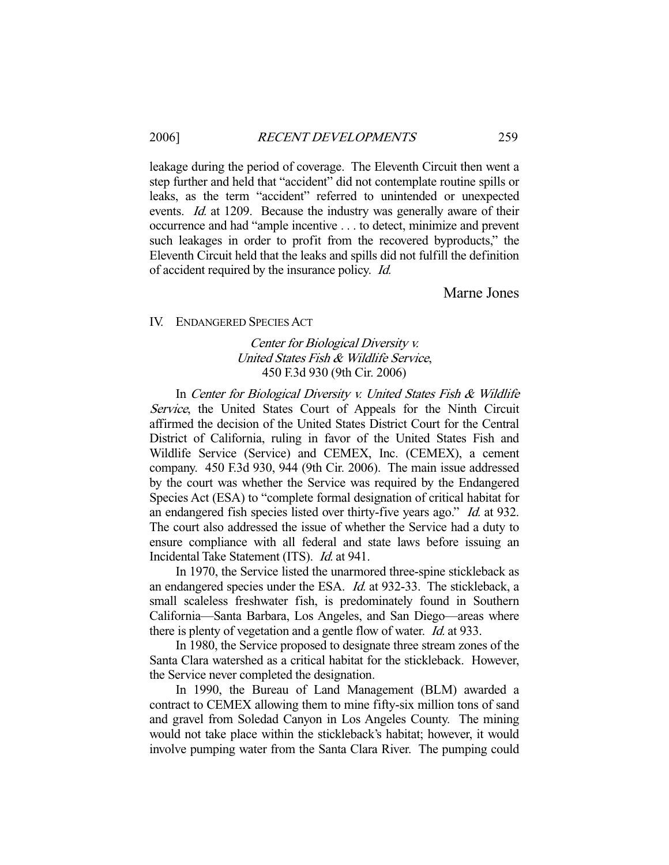leakage during the period of coverage. The Eleventh Circuit then went a step further and held that "accident" did not contemplate routine spills or leaks, as the term "accident" referred to unintended or unexpected events. *Id.* at 1209. Because the industry was generally aware of their occurrence and had "ample incentive . . . to detect, minimize and prevent such leakages in order to profit from the recovered byproducts," the Eleventh Circuit held that the leaks and spills did not fulfill the definition of accident required by the insurance policy. Id.

Marne Jones

IV. ENDANGERED SPECIES ACT

## Center for Biological Diversity v. United States Fish & Wildlife Service, 450 F.3d 930 (9th Cir. 2006)

In Center for Biological Diversity v. United States Fish & Wildlife Service, the United States Court of Appeals for the Ninth Circuit affirmed the decision of the United States District Court for the Central District of California, ruling in favor of the United States Fish and Wildlife Service (Service) and CEMEX, Inc. (CEMEX), a cement company. 450 F.3d 930, 944 (9th Cir. 2006). The main issue addressed by the court was whether the Service was required by the Endangered Species Act (ESA) to "complete formal designation of critical habitat for an endangered fish species listed over thirty-five years ago." Id. at 932. The court also addressed the issue of whether the Service had a duty to ensure compliance with all federal and state laws before issuing an Incidental Take Statement (ITS). Id. at 941.

 In 1970, the Service listed the unarmored three-spine stickleback as an endangered species under the ESA. Id. at 932-33. The stickleback, a small scaleless freshwater fish, is predominately found in Southern California—Santa Barbara, Los Angeles, and San Diego—areas where there is plenty of vegetation and a gentle flow of water. *Id.* at 933.

 In 1980, the Service proposed to designate three stream zones of the Santa Clara watershed as a critical habitat for the stickleback. However, the Service never completed the designation.

 In 1990, the Bureau of Land Management (BLM) awarded a contract to CEMEX allowing them to mine fifty-six million tons of sand and gravel from Soledad Canyon in Los Angeles County. The mining would not take place within the stickleback's habitat; however, it would involve pumping water from the Santa Clara River. The pumping could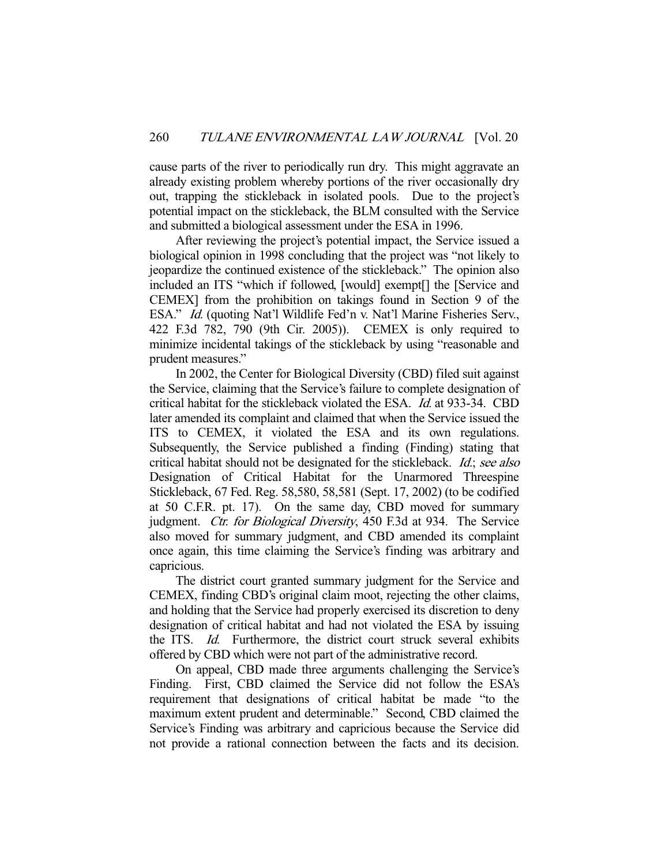cause parts of the river to periodically run dry. This might aggravate an already existing problem whereby portions of the river occasionally dry out, trapping the stickleback in isolated pools. Due to the project's potential impact on the stickleback, the BLM consulted with the Service and submitted a biological assessment under the ESA in 1996.

 After reviewing the project's potential impact, the Service issued a biological opinion in 1998 concluding that the project was "not likely to jeopardize the continued existence of the stickleback." The opinion also included an ITS "which if followed, [would] exempt[] the [Service and CEMEX] from the prohibition on takings found in Section 9 of the ESA." Id. (quoting Nat'l Wildlife Fed'n v. Nat'l Marine Fisheries Serv., 422 F.3d 782, 790 (9th Cir. 2005)). CEMEX is only required to minimize incidental takings of the stickleback by using "reasonable and prudent measures."

 In 2002, the Center for Biological Diversity (CBD) filed suit against the Service, claiming that the Service's failure to complete designation of critical habitat for the stickleback violated the ESA. Id. at 933-34. CBD later amended its complaint and claimed that when the Service issued the ITS to CEMEX, it violated the ESA and its own regulations. Subsequently, the Service published a finding (Finding) stating that critical habitat should not be designated for the stickleback. Id.; see also Designation of Critical Habitat for the Unarmored Threespine Stickleback, 67 Fed. Reg. 58,580, 58,581 (Sept. 17, 2002) (to be codified at 50 C.F.R. pt. 17). On the same day, CBD moved for summary judgment. Ctr. for Biological Diversity, 450 F.3d at 934. The Service also moved for summary judgment, and CBD amended its complaint once again, this time claiming the Service's finding was arbitrary and capricious.

 The district court granted summary judgment for the Service and CEMEX, finding CBD's original claim moot, rejecting the other claims, and holding that the Service had properly exercised its discretion to deny designation of critical habitat and had not violated the ESA by issuing the ITS. Id. Furthermore, the district court struck several exhibits offered by CBD which were not part of the administrative record.

 On appeal, CBD made three arguments challenging the Service's Finding. First, CBD claimed the Service did not follow the ESA's requirement that designations of critical habitat be made "to the maximum extent prudent and determinable." Second, CBD claimed the Service's Finding was arbitrary and capricious because the Service did not provide a rational connection between the facts and its decision.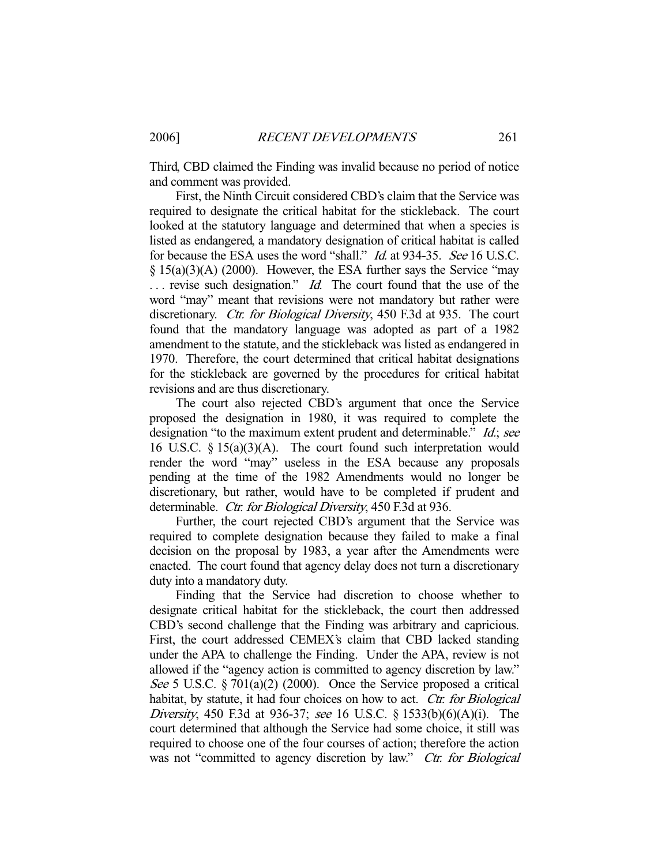Third, CBD claimed the Finding was invalid because no period of notice and comment was provided.

 First, the Ninth Circuit considered CBD's claim that the Service was required to designate the critical habitat for the stickleback. The court looked at the statutory language and determined that when a species is listed as endangered, a mandatory designation of critical habitat is called for because the ESA uses the word "shall." *Id.* at 934-35. See 16 U.S.C. § 15(a)(3)(A) (2000). However, the ESA further says the Service "may  $\ldots$  revise such designation." *Id.* The court found that the use of the word "may" meant that revisions were not mandatory but rather were discretionary. *Ctr. for Biological Diversity*, 450 F.3d at 935. The court found that the mandatory language was adopted as part of a 1982 amendment to the statute, and the stickleback was listed as endangered in 1970. Therefore, the court determined that critical habitat designations for the stickleback are governed by the procedures for critical habitat revisions and are thus discretionary.

 The court also rejected CBD's argument that once the Service proposed the designation in 1980, it was required to complete the designation "to the maximum extent prudent and determinable." *Id.*; see 16 U.S.C. § 15(a)(3)(A). The court found such interpretation would render the word "may" useless in the ESA because any proposals pending at the time of the 1982 Amendments would no longer be discretionary, but rather, would have to be completed if prudent and determinable. Ctr. for Biological Diversity, 450 F.3d at 936.

 Further, the court rejected CBD's argument that the Service was required to complete designation because they failed to make a final decision on the proposal by 1983, a year after the Amendments were enacted. The court found that agency delay does not turn a discretionary duty into a mandatory duty.

 Finding that the Service had discretion to choose whether to designate critical habitat for the stickleback, the court then addressed CBD's second challenge that the Finding was arbitrary and capricious. First, the court addressed CEMEX's claim that CBD lacked standing under the APA to challenge the Finding. Under the APA, review is not allowed if the "agency action is committed to agency discretion by law." See 5 U.S.C.  $\S 701(a)(2)$  (2000). Once the Service proposed a critical habitat, by statute, it had four choices on how to act. Ctr. for Biological Diversity, 450 F.3d at 936-37; see 16 U.S.C. § 1533(b)(6)(A)(i). The court determined that although the Service had some choice, it still was required to choose one of the four courses of action; therefore the action was not "committed to agency discretion by law." Ctr. for Biological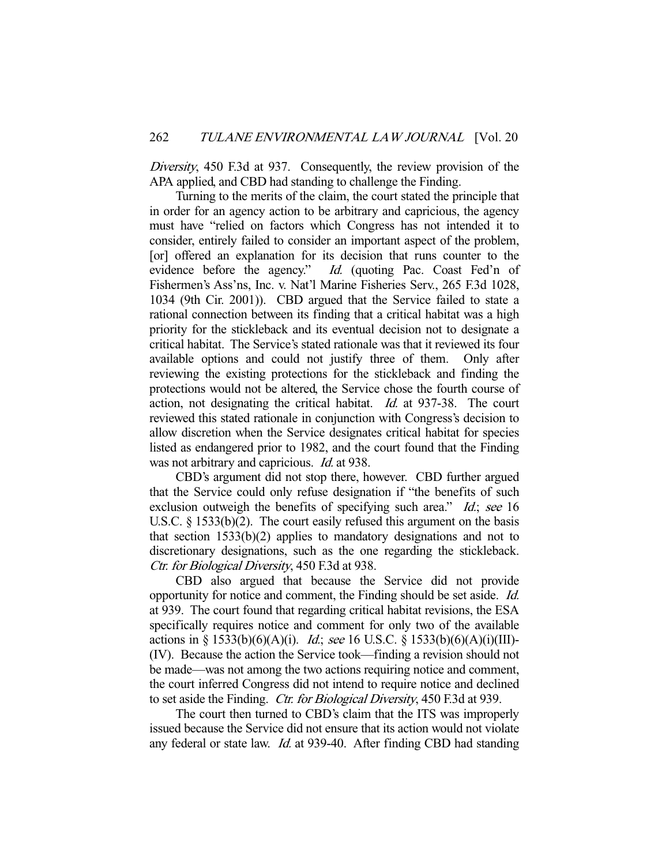Diversity, 450 F.3d at 937. Consequently, the review provision of the APA applied, and CBD had standing to challenge the Finding.

 Turning to the merits of the claim, the court stated the principle that in order for an agency action to be arbitrary and capricious, the agency must have "relied on factors which Congress has not intended it to consider, entirely failed to consider an important aspect of the problem, [or] offered an explanation for its decision that runs counter to the evidence before the agency." Id. (quoting Pac. Coast Fed'n of Fishermen's Ass'ns, Inc. v. Nat'l Marine Fisheries Serv., 265 F.3d 1028, 1034 (9th Cir. 2001)). CBD argued that the Service failed to state a rational connection between its finding that a critical habitat was a high priority for the stickleback and its eventual decision not to designate a critical habitat. The Service's stated rationale was that it reviewed its four available options and could not justify three of them. Only after reviewing the existing protections for the stickleback and finding the protections would not be altered, the Service chose the fourth course of action, not designating the critical habitat. Id. at 937-38. The court reviewed this stated rationale in conjunction with Congress's decision to allow discretion when the Service designates critical habitat for species listed as endangered prior to 1982, and the court found that the Finding was not arbitrary and capricious. *Id.* at 938.

 CBD's argument did not stop there, however. CBD further argued that the Service could only refuse designation if "the benefits of such exclusion outweigh the benefits of specifying such area." Id.; see 16 U.S.C. § 1533(b)(2). The court easily refused this argument on the basis that section 1533(b)(2) applies to mandatory designations and not to discretionary designations, such as the one regarding the stickleback. Ctr. for Biological Diversity, 450 F.3d at 938.

 CBD also argued that because the Service did not provide opportunity for notice and comment, the Finding should be set aside. Id. at 939. The court found that regarding critical habitat revisions, the ESA specifically requires notice and comment for only two of the available actions in § 1533(b)(6)(A)(i). *Id.*; see 16 U.S.C. § 1533(b)(6)(A)(i)(III)-(IV). Because the action the Service took—finding a revision should not be made—was not among the two actions requiring notice and comment, the court inferred Congress did not intend to require notice and declined to set aside the Finding. Ctr. for Biological Diversity, 450 F.3d at 939.

 The court then turned to CBD's claim that the ITS was improperly issued because the Service did not ensure that its action would not violate any federal or state law. Id. at 939-40. After finding CBD had standing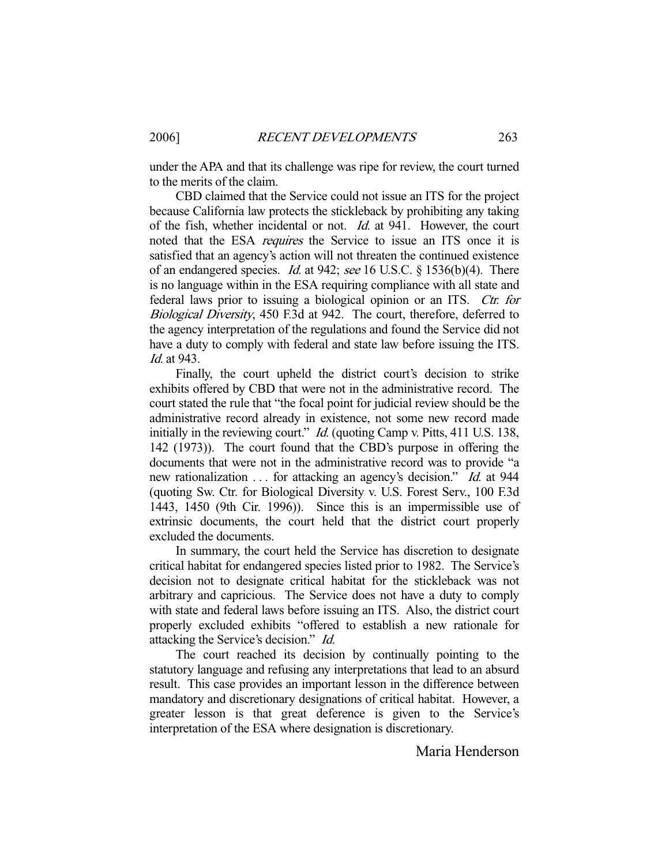under the APA and that its challenge was ripe for review, the court turned to the merits of the claim.

 CBD claimed that the Service could not issue an ITS for the project because California law protects the stickleback by prohibiting any taking of the fish, whether incidental or not. Id. at 941. However, the court noted that the ESA *requires* the Service to issue an ITS once it is satisfied that an agency's action will not threaten the continued existence of an endangered species. Id. at 942; see 16 U.S.C. § 1536(b)(4). There is no language within in the ESA requiring compliance with all state and federal laws prior to issuing a biological opinion or an ITS. Ctr. for Biological Diversity, 450 F.3d at 942. The court, therefore, deferred to the agency interpretation of the regulations and found the Service did not have a duty to comply with federal and state law before issuing the ITS. Id. at 943.

 Finally, the court upheld the district court's decision to strike exhibits offered by CBD that were not in the administrative record. The court stated the rule that "the focal point for judicial review should be the administrative record already in existence, not some new record made initially in the reviewing court." *Id.* (quoting Camp v. Pitts, 411 U.S. 138, 142 (1973)). The court found that the CBD's purpose in offering the documents that were not in the administrative record was to provide "a new rationalization . . . for attacking an agency's decision." *Id.* at 944 (quoting Sw. Ctr. for Biological Diversity v. U.S. Forest Serv., 100 F.3d 1443, 1450 (9th Cir. 1996)). Since this is an impermissible use of extrinsic documents, the court held that the district court properly excluded the documents.

 In summary, the court held the Service has discretion to designate critical habitat for endangered species listed prior to 1982. The Service's decision not to designate critical habitat for the stickleback was not arbitrary and capricious. The Service does not have a duty to comply with state and federal laws before issuing an ITS. Also, the district court properly excluded exhibits "offered to establish a new rationale for attacking the Service's decision." Id.

 The court reached its decision by continually pointing to the statutory language and refusing any interpretations that lead to an absurd result. This case provides an important lesson in the difference between mandatory and discretionary designations of critical habitat. However, a greater lesson is that great deference is given to the Service's interpretation of the ESA where designation is discretionary.

Maria Henderson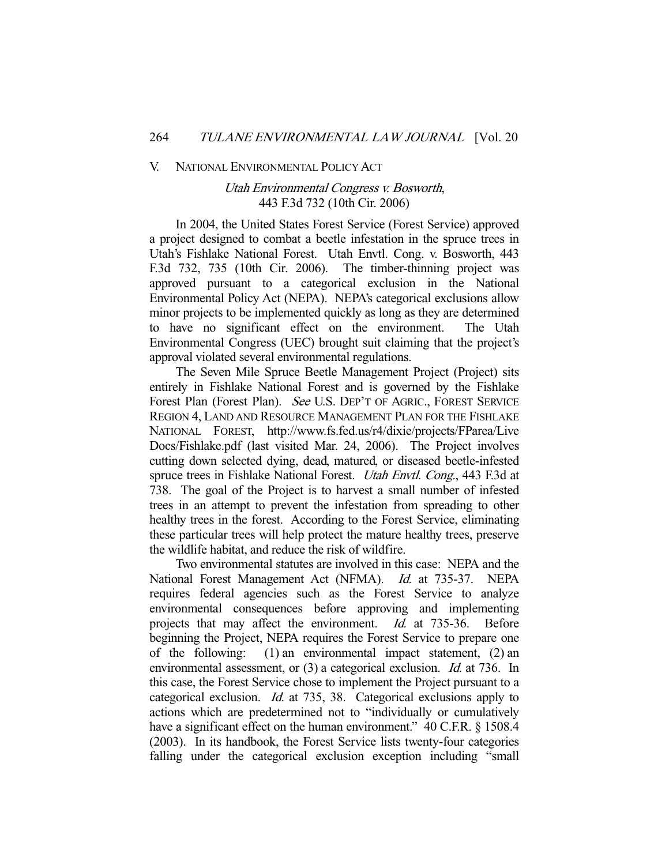#### V. NATIONAL ENVIRONMENTAL POLICY ACT

## Utah Environmental Congress v. Bosworth, 443 F.3d 732 (10th Cir. 2006)

 In 2004, the United States Forest Service (Forest Service) approved a project designed to combat a beetle infestation in the spruce trees in Utah's Fishlake National Forest. Utah Envtl. Cong. v. Bosworth, 443 F.3d 732, 735 (10th Cir. 2006). The timber-thinning project was approved pursuant to a categorical exclusion in the National Environmental Policy Act (NEPA). NEPA's categorical exclusions allow minor projects to be implemented quickly as long as they are determined to have no significant effect on the environment. The Utah Environmental Congress (UEC) brought suit claiming that the project's approval violated several environmental regulations.

 The Seven Mile Spruce Beetle Management Project (Project) sits entirely in Fishlake National Forest and is governed by the Fishlake Forest Plan (Forest Plan). See U.S. DEP'T OF AGRIC., FOREST SERVICE REGION 4, LAND AND RESOURCE MANAGEMENT PLAN FOR THE FISHLAKE NATIONAL FOREST, http://www.fs.fed.us/r4/dixie/projects/FParea/Live Docs/Fishlake.pdf (last visited Mar. 24, 2006). The Project involves cutting down selected dying, dead, matured, or diseased beetle-infested spruce trees in Fishlake National Forest. Utah Envtl. Cong., 443 F.3d at 738. The goal of the Project is to harvest a small number of infested trees in an attempt to prevent the infestation from spreading to other healthy trees in the forest. According to the Forest Service, eliminating these particular trees will help protect the mature healthy trees, preserve the wildlife habitat, and reduce the risk of wildfire.

 Two environmental statutes are involved in this case: NEPA and the National Forest Management Act (NFMA). Id. at 735-37. NEPA requires federal agencies such as the Forest Service to analyze environmental consequences before approving and implementing projects that may affect the environment. *Id.* at 735-36. Before beginning the Project, NEPA requires the Forest Service to prepare one of the following: (1) an environmental impact statement, (2) an environmental assessment, or (3) a categorical exclusion. *Id.* at 736. In this case, the Forest Service chose to implement the Project pursuant to a categorical exclusion. Id. at 735, 38. Categorical exclusions apply to actions which are predetermined not to "individually or cumulatively have a significant effect on the human environment." 40 C.F.R. § 1508.4 (2003). In its handbook, the Forest Service lists twenty-four categories falling under the categorical exclusion exception including "small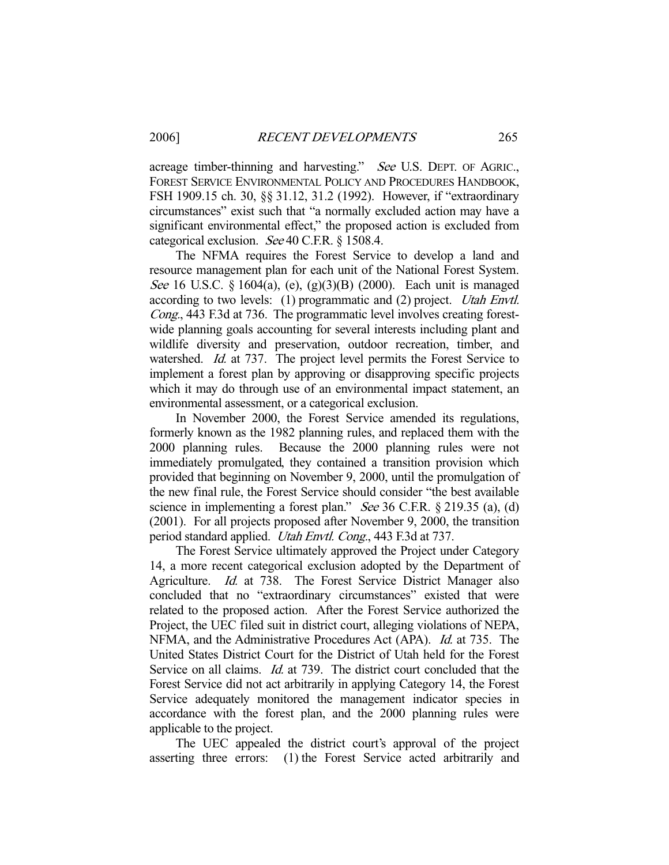acreage timber-thinning and harvesting." See U.S. DEPT. OF AGRIC., FOREST SERVICE ENVIRONMENTAL POLICY AND PROCEDURES HANDBOOK, FSH 1909.15 ch. 30, §§ 31.12, 31.2 (1992). However, if "extraordinary circumstances" exist such that "a normally excluded action may have a significant environmental effect," the proposed action is excluded from categorical exclusion. See 40 C.F.R. § 1508.4.

 The NFMA requires the Forest Service to develop a land and resource management plan for each unit of the National Forest System. See 16 U.S.C. § 1604(a), (e), (g)(3)(B) (2000). Each unit is managed according to two levels: (1) programmatic and (2) project. Utah Envtl. Cong., 443 F.3d at 736. The programmatic level involves creating forestwide planning goals accounting for several interests including plant and wildlife diversity and preservation, outdoor recreation, timber, and watershed. *Id.* at 737. The project level permits the Forest Service to implement a forest plan by approving or disapproving specific projects which it may do through use of an environmental impact statement, an environmental assessment, or a categorical exclusion.

 In November 2000, the Forest Service amended its regulations, formerly known as the 1982 planning rules, and replaced them with the 2000 planning rules. Because the 2000 planning rules were not immediately promulgated, they contained a transition provision which provided that beginning on November 9, 2000, until the promulgation of the new final rule, the Forest Service should consider "the best available science in implementing a forest plan." See 36 C.F.R. § 219.35 (a), (d) (2001). For all projects proposed after November 9, 2000, the transition period standard applied. Utah Envtl. Cong., 443 F.3d at 737.

 The Forest Service ultimately approved the Project under Category 14, a more recent categorical exclusion adopted by the Department of Agriculture. Id. at 738. The Forest Service District Manager also concluded that no "extraordinary circumstances" existed that were related to the proposed action. After the Forest Service authorized the Project, the UEC filed suit in district court, alleging violations of NEPA, NFMA, and the Administrative Procedures Act (APA). Id. at 735. The United States District Court for the District of Utah held for the Forest Service on all claims. *Id.* at 739. The district court concluded that the Forest Service did not act arbitrarily in applying Category 14, the Forest Service adequately monitored the management indicator species in accordance with the forest plan, and the 2000 planning rules were applicable to the project.

 The UEC appealed the district court's approval of the project asserting three errors: (1) the Forest Service acted arbitrarily and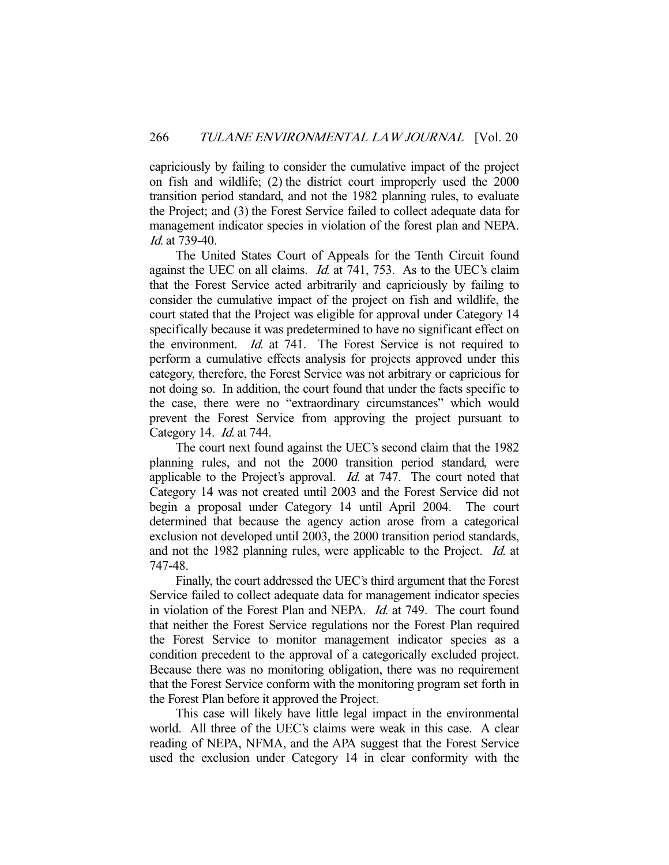capriciously by failing to consider the cumulative impact of the project on fish and wildlife; (2) the district court improperly used the 2000 transition period standard, and not the 1982 planning rules, to evaluate the Project; and (3) the Forest Service failed to collect adequate data for management indicator species in violation of the forest plan and NEPA. Id. at 739-40.

 The United States Court of Appeals for the Tenth Circuit found against the UEC on all claims. *Id.* at 741, 753. As to the UEC's claim that the Forest Service acted arbitrarily and capriciously by failing to consider the cumulative impact of the project on fish and wildlife, the court stated that the Project was eligible for approval under Category 14 specifically because it was predetermined to have no significant effect on the environment. Id. at 741. The Forest Service is not required to perform a cumulative effects analysis for projects approved under this category, therefore, the Forest Service was not arbitrary or capricious for not doing so. In addition, the court found that under the facts specific to the case, there were no "extraordinary circumstances" which would prevent the Forest Service from approving the project pursuant to Category 14. Id. at 744.

 The court next found against the UEC's second claim that the 1982 planning rules, and not the 2000 transition period standard, were applicable to the Project's approval. *Id.* at 747. The court noted that Category 14 was not created until 2003 and the Forest Service did not begin a proposal under Category 14 until April 2004. The court determined that because the agency action arose from a categorical exclusion not developed until 2003, the 2000 transition period standards, and not the 1982 planning rules, were applicable to the Project. Id. at 747-48.

 Finally, the court addressed the UEC's third argument that the Forest Service failed to collect adequate data for management indicator species in violation of the Forest Plan and NEPA. Id. at 749. The court found that neither the Forest Service regulations nor the Forest Plan required the Forest Service to monitor management indicator species as a condition precedent to the approval of a categorically excluded project. Because there was no monitoring obligation, there was no requirement that the Forest Service conform with the monitoring program set forth in the Forest Plan before it approved the Project.

 This case will likely have little legal impact in the environmental world. All three of the UEC's claims were weak in this case. A clear reading of NEPA, NFMA, and the APA suggest that the Forest Service used the exclusion under Category 14 in clear conformity with the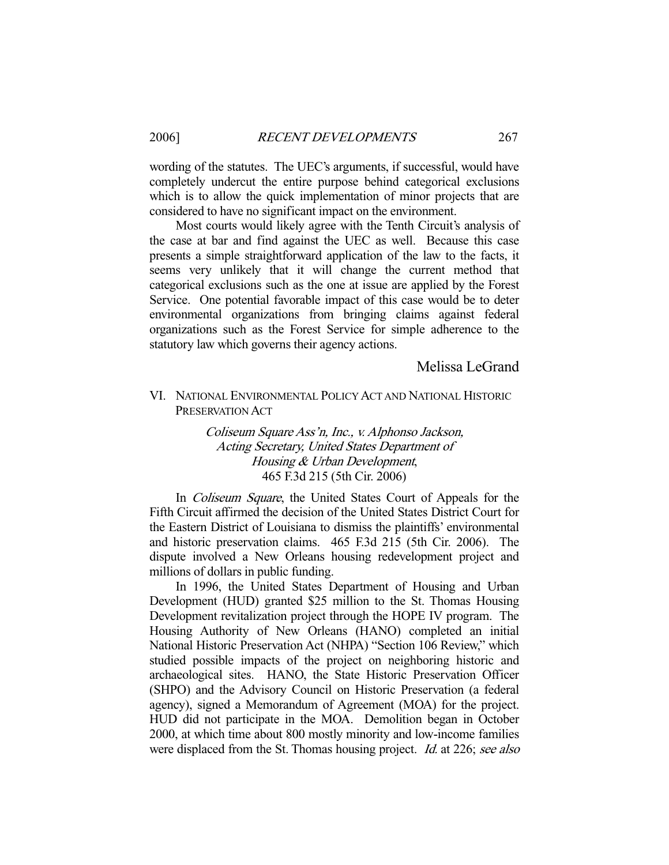wording of the statutes. The UEC's arguments, if successful, would have completely undercut the entire purpose behind categorical exclusions which is to allow the quick implementation of minor projects that are considered to have no significant impact on the environment.

 Most courts would likely agree with the Tenth Circuit's analysis of the case at bar and find against the UEC as well. Because this case presents a simple straightforward application of the law to the facts, it seems very unlikely that it will change the current method that categorical exclusions such as the one at issue are applied by the Forest Service. One potential favorable impact of this case would be to deter environmental organizations from bringing claims against federal organizations such as the Forest Service for simple adherence to the statutory law which governs their agency actions.

## Melissa LeGrand

## VI. NATIONAL ENVIRONMENTAL POLICY ACT AND NATIONAL HISTORIC PRESERVATION ACT

Coliseum Square Ass'n, Inc., v. Alphonso Jackson, Acting Secretary, United States Department of Housing & Urban Development, 465 F.3d 215 (5th Cir. 2006)

In *Coliseum Square*, the United States Court of Appeals for the Fifth Circuit affirmed the decision of the United States District Court for the Eastern District of Louisiana to dismiss the plaintiffs' environmental and historic preservation claims. 465 F.3d 215 (5th Cir. 2006). The dispute involved a New Orleans housing redevelopment project and millions of dollars in public funding.

 In 1996, the United States Department of Housing and Urban Development (HUD) granted \$25 million to the St. Thomas Housing Development revitalization project through the HOPE IV program. The Housing Authority of New Orleans (HANO) completed an initial National Historic Preservation Act (NHPA) "Section 106 Review," which studied possible impacts of the project on neighboring historic and archaeological sites. HANO, the State Historic Preservation Officer (SHPO) and the Advisory Council on Historic Preservation (a federal agency), signed a Memorandum of Agreement (MOA) for the project. HUD did not participate in the MOA. Demolition began in October 2000, at which time about 800 mostly minority and low-income families were displaced from the St. Thomas housing project. *Id.* at 226; see also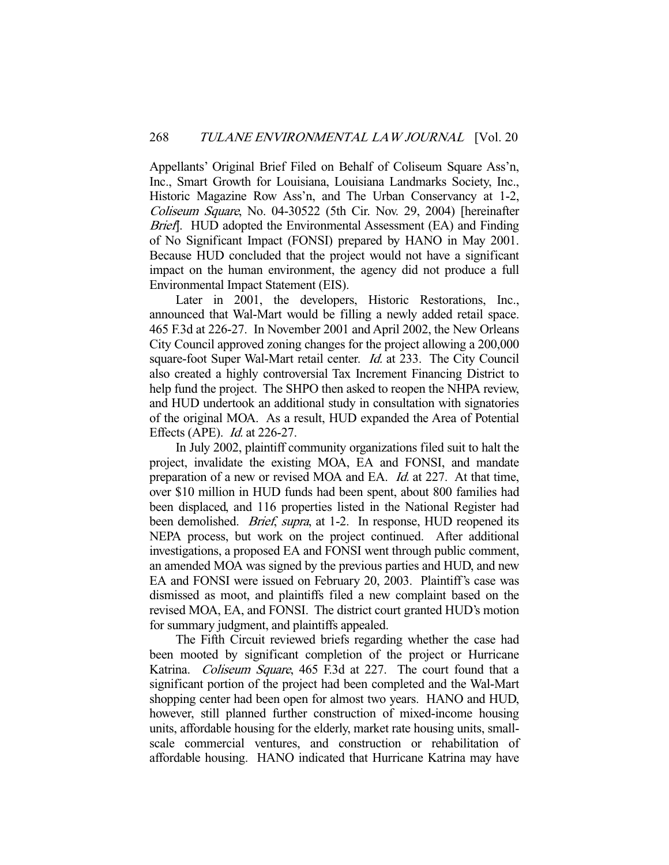Appellants' Original Brief Filed on Behalf of Coliseum Square Ass'n, Inc., Smart Growth for Louisiana, Louisiana Landmarks Society, Inc., Historic Magazine Row Ass'n, and The Urban Conservancy at 1-2, Coliseum Square, No. 04-30522 (5th Cir. Nov. 29, 2004) [hereinafter Brief]. HUD adopted the Environmental Assessment (EA) and Finding of No Significant Impact (FONSI) prepared by HANO in May 2001. Because HUD concluded that the project would not have a significant impact on the human environment, the agency did not produce a full Environmental Impact Statement (EIS).

 Later in 2001, the developers, Historic Restorations, Inc., announced that Wal-Mart would be filling a newly added retail space. 465 F.3d at 226-27. In November 2001 and April 2002, the New Orleans City Council approved zoning changes for the project allowing a 200,000 square-foot Super Wal-Mart retail center. Id. at 233. The City Council also created a highly controversial Tax Increment Financing District to help fund the project. The SHPO then asked to reopen the NHPA review, and HUD undertook an additional study in consultation with signatories of the original MOA. As a result, HUD expanded the Area of Potential Effects (APE). Id. at 226-27.

 In July 2002, plaintiff community organizations filed suit to halt the project, invalidate the existing MOA, EA and FONSI, and mandate preparation of a new or revised MOA and EA. Id. at 227. At that time, over \$10 million in HUD funds had been spent, about 800 families had been displaced, and 116 properties listed in the National Register had been demolished. *Brief, supra*, at 1-2. In response, HUD reopened its NEPA process, but work on the project continued. After additional investigations, a proposed EA and FONSI went through public comment, an amended MOA was signed by the previous parties and HUD, and new EA and FONSI were issued on February 20, 2003. Plaintiff's case was dismissed as moot, and plaintiffs filed a new complaint based on the revised MOA, EA, and FONSI. The district court granted HUD's motion for summary judgment, and plaintiffs appealed.

 The Fifth Circuit reviewed briefs regarding whether the case had been mooted by significant completion of the project or Hurricane Katrina. Coliseum Square, 465 F.3d at 227. The court found that a significant portion of the project had been completed and the Wal-Mart shopping center had been open for almost two years. HANO and HUD, however, still planned further construction of mixed-income housing units, affordable housing for the elderly, market rate housing units, smallscale commercial ventures, and construction or rehabilitation of affordable housing. HANO indicated that Hurricane Katrina may have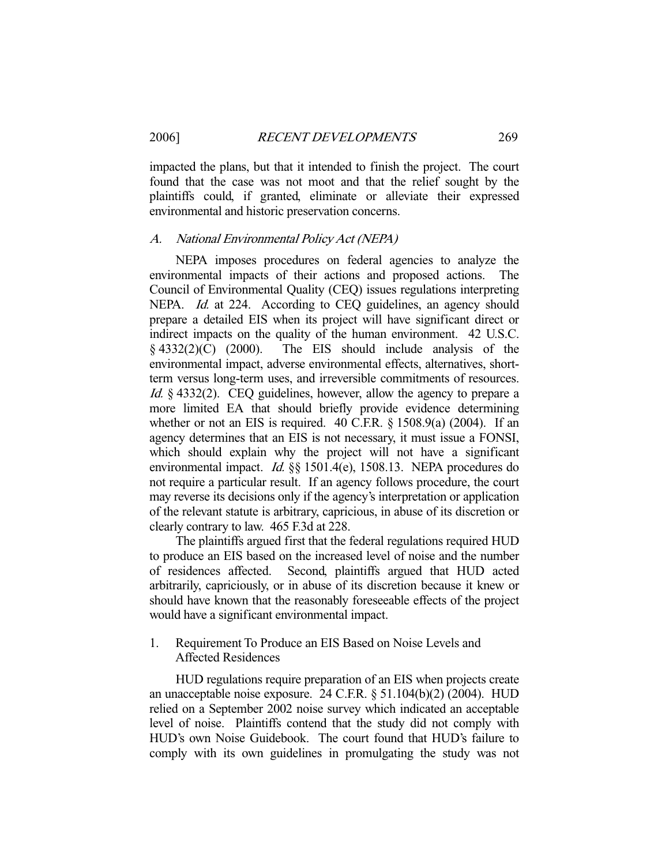impacted the plans, but that it intended to finish the project. The court found that the case was not moot and that the relief sought by the plaintiffs could, if granted, eliminate or alleviate their expressed environmental and historic preservation concerns.

#### A. National Environmental Policy Act (NEPA)

 NEPA imposes procedures on federal agencies to analyze the environmental impacts of their actions and proposed actions. The Council of Environmental Quality (CEQ) issues regulations interpreting NEPA. *Id.* at 224. According to CEQ guidelines, an agency should prepare a detailed EIS when its project will have significant direct or indirect impacts on the quality of the human environment. 42 U.S.C.  $§$  4332(2)(C) (2000). The EIS should include analysis of the environmental impact, adverse environmental effects, alternatives, shortterm versus long-term uses, and irreversible commitments of resources. Id. § 4332(2). CEQ guidelines, however, allow the agency to prepare a more limited EA that should briefly provide evidence determining whether or not an EIS is required.  $40$  C.F.R.  $\frac{6}{1508.9(a)}$  (2004). If an agency determines that an EIS is not necessary, it must issue a FONSI, which should explain why the project will not have a significant environmental impact. *Id.* §§ 1501.4(e), 1508.13. NEPA procedures do not require a particular result. If an agency follows procedure, the court may reverse its decisions only if the agency's interpretation or application of the relevant statute is arbitrary, capricious, in abuse of its discretion or clearly contrary to law. 465 F.3d at 228.

 The plaintiffs argued first that the federal regulations required HUD to produce an EIS based on the increased level of noise and the number of residences affected. Second, plaintiffs argued that HUD acted arbitrarily, capriciously, or in abuse of its discretion because it knew or should have known that the reasonably foreseeable effects of the project would have a significant environmental impact.

1. Requirement To Produce an EIS Based on Noise Levels and Affected Residences

 HUD regulations require preparation of an EIS when projects create an unacceptable noise exposure. 24 C.F.R. § 51.104(b)(2) (2004). HUD relied on a September 2002 noise survey which indicated an acceptable level of noise. Plaintiffs contend that the study did not comply with HUD's own Noise Guidebook. The court found that HUD's failure to comply with its own guidelines in promulgating the study was not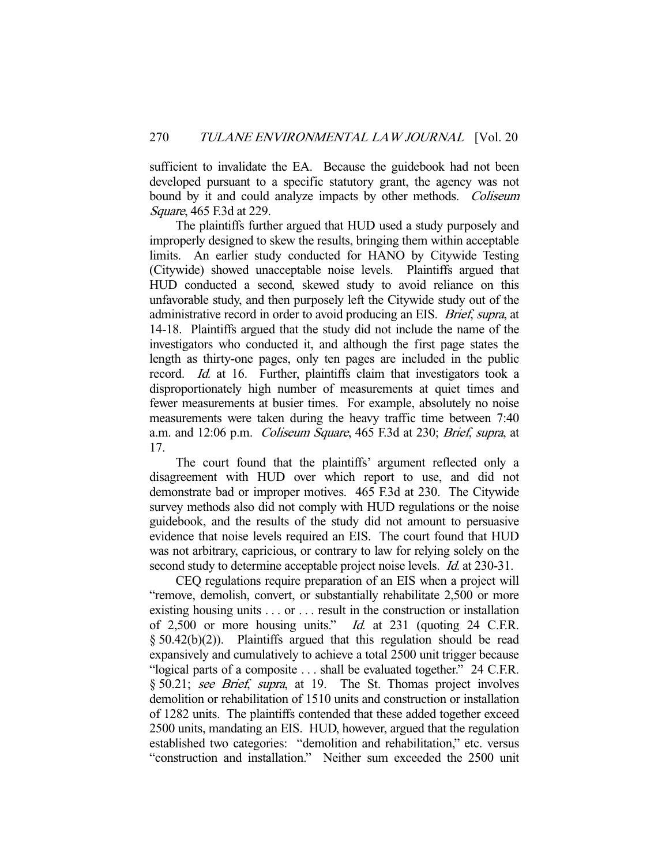sufficient to invalidate the EA. Because the guidebook had not been developed pursuant to a specific statutory grant, the agency was not bound by it and could analyze impacts by other methods. Coliseum Square, 465 F.3d at 229.

 The plaintiffs further argued that HUD used a study purposely and improperly designed to skew the results, bringing them within acceptable limits. An earlier study conducted for HANO by Citywide Testing (Citywide) showed unacceptable noise levels. Plaintiffs argued that HUD conducted a second, skewed study to avoid reliance on this unfavorable study, and then purposely left the Citywide study out of the administrative record in order to avoid producing an EIS. Brief, supra, at 14-18. Plaintiffs argued that the study did not include the name of the investigators who conducted it, and although the first page states the length as thirty-one pages, only ten pages are included in the public record. Id. at 16. Further, plaintiffs claim that investigators took a disproportionately high number of measurements at quiet times and fewer measurements at busier times. For example, absolutely no noise measurements were taken during the heavy traffic time between 7:40 a.m. and 12:06 p.m. Coliseum Square, 465 F.3d at 230; Brief, supra, at 17.

 The court found that the plaintiffs' argument reflected only a disagreement with HUD over which report to use, and did not demonstrate bad or improper motives. 465 F.3d at 230. The Citywide survey methods also did not comply with HUD regulations or the noise guidebook, and the results of the study did not amount to persuasive evidence that noise levels required an EIS. The court found that HUD was not arbitrary, capricious, or contrary to law for relying solely on the second study to determine acceptable project noise levels. *Id.* at 230-31.

 CEQ regulations require preparation of an EIS when a project will "remove, demolish, convert, or substantially rehabilitate 2,500 or more existing housing units . . . or . . . result in the construction or installation of 2,500 or more housing units." Id. at 231 (quoting 24 C.F.R. § 50.42(b)(2)). Plaintiffs argued that this regulation should be read expansively and cumulatively to achieve a total 2500 unit trigger because "logical parts of a composite . . . shall be evaluated together." 24 C.F.R. § 50.21; see Brief, supra, at 19. The St. Thomas project involves demolition or rehabilitation of 1510 units and construction or installation of 1282 units. The plaintiffs contended that these added together exceed 2500 units, mandating an EIS. HUD, however, argued that the regulation established two categories: "demolition and rehabilitation," etc. versus "construction and installation." Neither sum exceeded the 2500 unit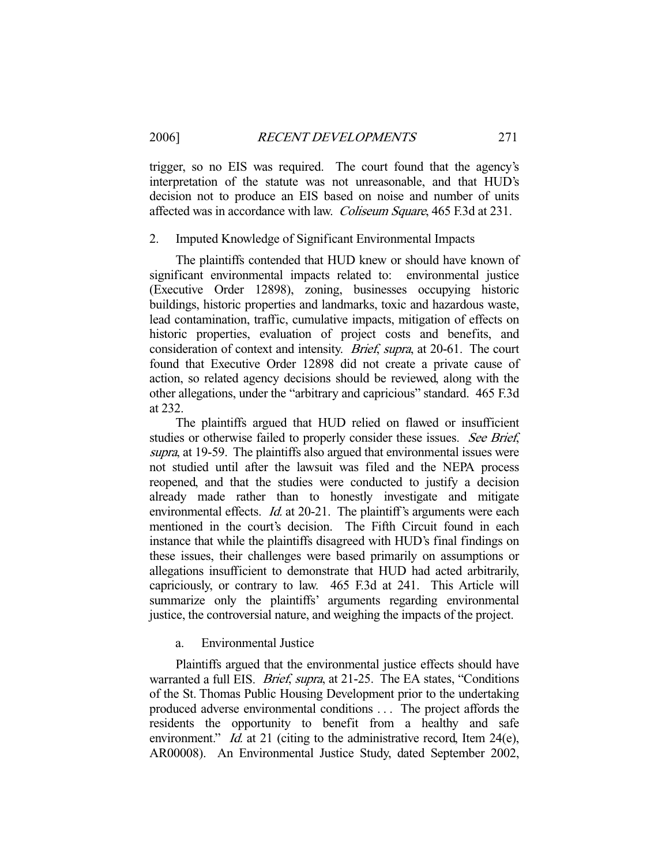trigger, so no EIS was required. The court found that the agency's interpretation of the statute was not unreasonable, and that HUD's decision not to produce an EIS based on noise and number of units affected was in accordance with law. Coliseum Square, 465 F.3d at 231.

#### 2. Imputed Knowledge of Significant Environmental Impacts

 The plaintiffs contended that HUD knew or should have known of significant environmental impacts related to: environmental justice (Executive Order 12898), zoning, businesses occupying historic buildings, historic properties and landmarks, toxic and hazardous waste, lead contamination, traffic, cumulative impacts, mitigation of effects on historic properties, evaluation of project costs and benefits, and consideration of context and intensity. Brief, supra, at 20-61. The court found that Executive Order 12898 did not create a private cause of action, so related agency decisions should be reviewed, along with the other allegations, under the "arbitrary and capricious" standard. 465 F.3d at 232.

 The plaintiffs argued that HUD relied on flawed or insufficient studies or otherwise failed to properly consider these issues. See Brief, supra, at 19-59. The plaintiffs also argued that environmental issues were not studied until after the lawsuit was filed and the NEPA process reopened, and that the studies were conducted to justify a decision already made rather than to honestly investigate and mitigate environmental effects. *Id.* at 20-21. The plaintiff's arguments were each mentioned in the court's decision. The Fifth Circuit found in each instance that while the plaintiffs disagreed with HUD's final findings on these issues, their challenges were based primarily on assumptions or allegations insufficient to demonstrate that HUD had acted arbitrarily, capriciously, or contrary to law. 465 F.3d at 241. This Article will summarize only the plaintiffs' arguments regarding environmental justice, the controversial nature, and weighing the impacts of the project.

### a. Environmental Justice

 Plaintiffs argued that the environmental justice effects should have warranted a full EIS. *Brief, supra*, at 21-25. The EA states, "Conditions of the St. Thomas Public Housing Development prior to the undertaking produced adverse environmental conditions . . . The project affords the residents the opportunity to benefit from a healthy and safe environment." *Id.* at 21 (citing to the administrative record, Item 24(e), AR00008). An Environmental Justice Study, dated September 2002,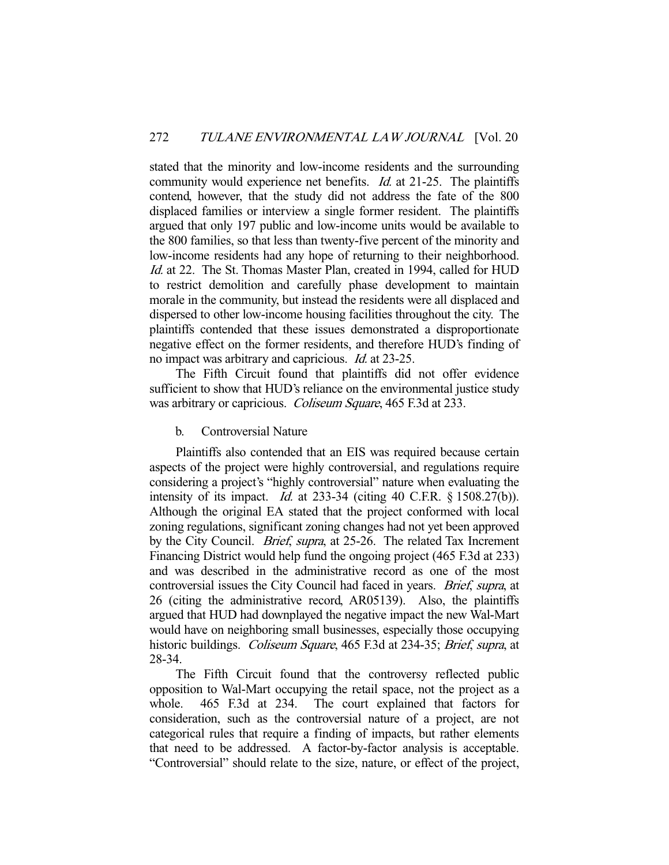stated that the minority and low-income residents and the surrounding community would experience net benefits. *Id.* at 21-25. The plaintiffs contend, however, that the study did not address the fate of the 800 displaced families or interview a single former resident. The plaintiffs argued that only 197 public and low-income units would be available to the 800 families, so that less than twenty-five percent of the minority and low-income residents had any hope of returning to their neighborhood. Id. at 22. The St. Thomas Master Plan, created in 1994, called for HUD to restrict demolition and carefully phase development to maintain morale in the community, but instead the residents were all displaced and dispersed to other low-income housing facilities throughout the city. The plaintiffs contended that these issues demonstrated a disproportionate negative effect on the former residents, and therefore HUD's finding of no impact was arbitrary and capricious. Id. at 23-25.

 The Fifth Circuit found that plaintiffs did not offer evidence sufficient to show that HUD's reliance on the environmental justice study was arbitrary or capricious. *Coliseum Square*, 465 F.3d at 233.

b. Controversial Nature

 Plaintiffs also contended that an EIS was required because certain aspects of the project were highly controversial, and regulations require considering a project's "highly controversial" nature when evaluating the intensity of its impact. *Id.* at  $233-34$  (citing  $40$  C.F.R. § 1508.27(b)). Although the original EA stated that the project conformed with local zoning regulations, significant zoning changes had not yet been approved by the City Council. Brief, supra, at 25-26. The related Tax Increment Financing District would help fund the ongoing project (465 F.3d at 233) and was described in the administrative record as one of the most controversial issues the City Council had faced in years. Brief, supra, at 26 (citing the administrative record, AR05139). Also, the plaintiffs argued that HUD had downplayed the negative impact the new Wal-Mart would have on neighboring small businesses, especially those occupying historic buildings. *Coliseum Square*, 465 F.3d at 234-35; *Brief, supra, at* 28-34.

 The Fifth Circuit found that the controversy reflected public opposition to Wal-Mart occupying the retail space, not the project as a whole. 465 F.3d at 234. The court explained that factors for consideration, such as the controversial nature of a project, are not categorical rules that require a finding of impacts, but rather elements that need to be addressed. A factor-by-factor analysis is acceptable. "Controversial" should relate to the size, nature, or effect of the project,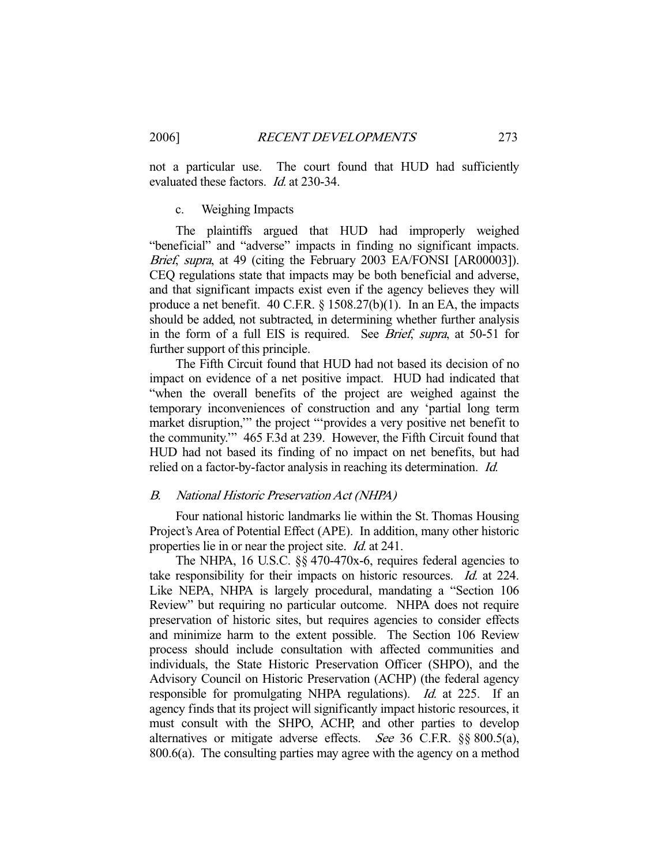not a particular use. The court found that HUD had sufficiently evaluated these factors. *Id.* at 230-34.

#### c. Weighing Impacts

 The plaintiffs argued that HUD had improperly weighed "beneficial" and "adverse" impacts in finding no significant impacts. Brief, supra, at 49 (citing the February 2003 EA/FONSI [AR00003]). CEQ regulations state that impacts may be both beneficial and adverse, and that significant impacts exist even if the agency believes they will produce a net benefit. 40 C.F.R. § 1508.27(b)(1). In an EA, the impacts should be added, not subtracted, in determining whether further analysis in the form of a full EIS is required. See Brief, supra, at 50-51 for further support of this principle.

 The Fifth Circuit found that HUD had not based its decision of no impact on evidence of a net positive impact. HUD had indicated that "when the overall benefits of the project are weighed against the temporary inconveniences of construction and any 'partial long term market disruption,'" the project "'provides a very positive net benefit to the community.'" 465 F.3d at 239. However, the Fifth Circuit found that HUD had not based its finding of no impact on net benefits, but had relied on a factor-by-factor analysis in reaching its determination. Id.

#### B. National Historic Preservation Act (NHPA)

 Four national historic landmarks lie within the St. Thomas Housing Project's Area of Potential Effect (APE). In addition, many other historic properties lie in or near the project site. Id. at 241.

The NHPA, 16 U.S.C. §§ 470-470x-6, requires federal agencies to take responsibility for their impacts on historic resources. Id. at 224. Like NEPA, NHPA is largely procedural, mandating a "Section 106 Review" but requiring no particular outcome. NHPA does not require preservation of historic sites, but requires agencies to consider effects and minimize harm to the extent possible. The Section 106 Review process should include consultation with affected communities and individuals, the State Historic Preservation Officer (SHPO), and the Advisory Council on Historic Preservation (ACHP) (the federal agency responsible for promulgating NHPA regulations). Id. at 225. If an agency finds that its project will significantly impact historic resources, it must consult with the SHPO, ACHP, and other parties to develop alternatives or mitigate adverse effects. See 36 C.F.R. §§ 800.5(a), 800.6(a). The consulting parties may agree with the agency on a method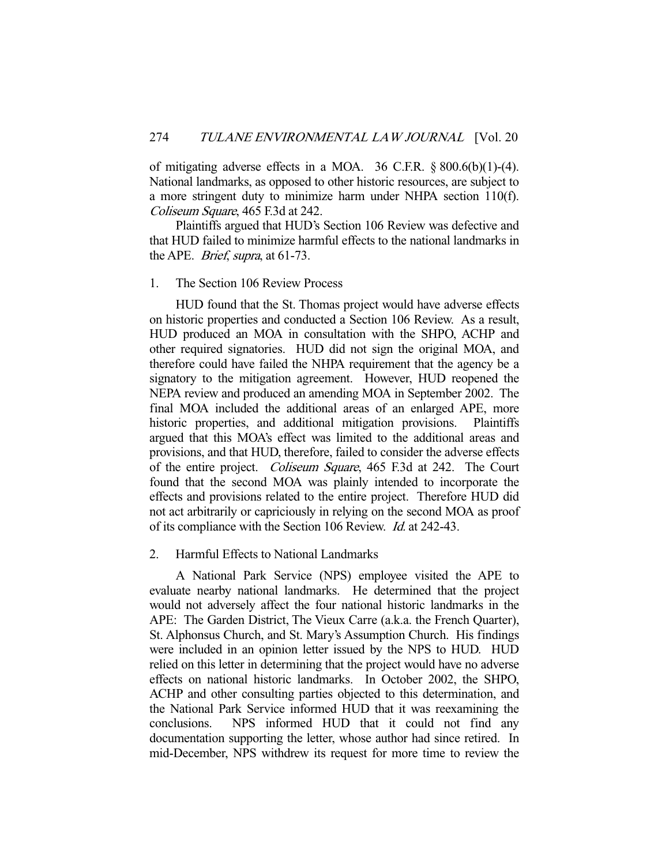of mitigating adverse effects in a MOA. 36 C.F.R.  $\S 800.6(b)(1)-(4)$ . National landmarks, as opposed to other historic resources, are subject to a more stringent duty to minimize harm under NHPA section 110(f). Coliseum Square, 465 F.3d at 242.

 Plaintiffs argued that HUD's Section 106 Review was defective and that HUD failed to minimize harmful effects to the national landmarks in the APE. Brief, supra, at 61-73.

#### 1. The Section 106 Review Process

 HUD found that the St. Thomas project would have adverse effects on historic properties and conducted a Section 106 Review. As a result, HUD produced an MOA in consultation with the SHPO, ACHP and other required signatories. HUD did not sign the original MOA, and therefore could have failed the NHPA requirement that the agency be a signatory to the mitigation agreement. However, HUD reopened the NEPA review and produced an amending MOA in September 2002. The final MOA included the additional areas of an enlarged APE, more historic properties, and additional mitigation provisions. Plaintiffs argued that this MOA's effect was limited to the additional areas and provisions, and that HUD, therefore, failed to consider the adverse effects of the entire project. Coliseum Square, 465 F.3d at 242. The Court found that the second MOA was plainly intended to incorporate the effects and provisions related to the entire project. Therefore HUD did not act arbitrarily or capriciously in relying on the second MOA as proof of its compliance with the Section 106 Review. Id. at 242-43.

#### 2. Harmful Effects to National Landmarks

 A National Park Service (NPS) employee visited the APE to evaluate nearby national landmarks. He determined that the project would not adversely affect the four national historic landmarks in the APE: The Garden District, The Vieux Carre (a.k.a. the French Quarter), St. Alphonsus Church, and St. Mary's Assumption Church. His findings were included in an opinion letter issued by the NPS to HUD. HUD relied on this letter in determining that the project would have no adverse effects on national historic landmarks. In October 2002, the SHPO, ACHP and other consulting parties objected to this determination, and the National Park Service informed HUD that it was reexamining the conclusions. NPS informed HUD that it could not find any documentation supporting the letter, whose author had since retired. In mid-December, NPS withdrew its request for more time to review the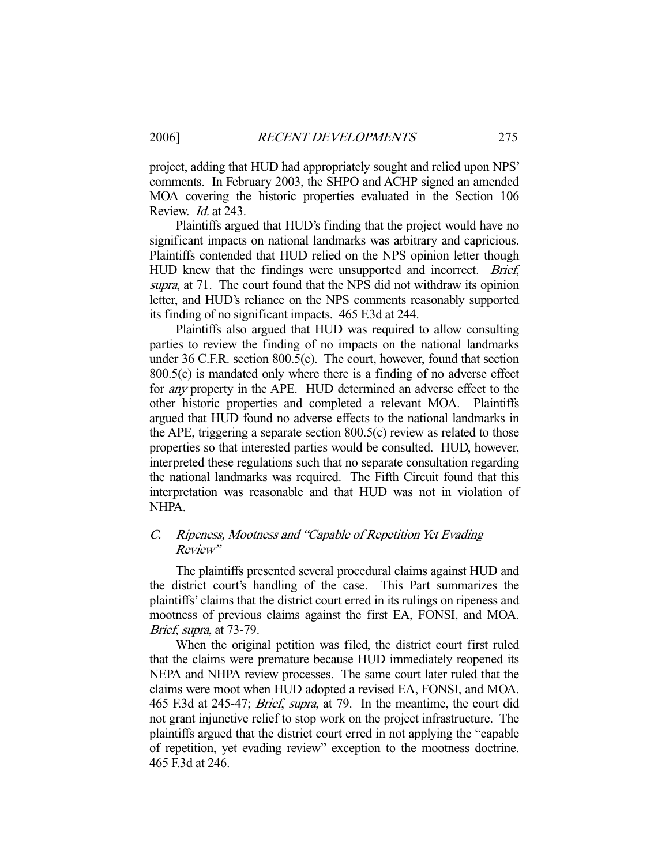project, adding that HUD had appropriately sought and relied upon NPS' comments. In February 2003, the SHPO and ACHP signed an amended MOA covering the historic properties evaluated in the Section 106 Review. Id. at 243.

 Plaintiffs argued that HUD's finding that the project would have no significant impacts on national landmarks was arbitrary and capricious. Plaintiffs contended that HUD relied on the NPS opinion letter though HUD knew that the findings were unsupported and incorrect. Brief, supra, at 71. The court found that the NPS did not withdraw its opinion letter, and HUD's reliance on the NPS comments reasonably supported its finding of no significant impacts. 465 F.3d at 244.

 Plaintiffs also argued that HUD was required to allow consulting parties to review the finding of no impacts on the national landmarks under 36 C.F.R. section 800.5(c). The court, however, found that section 800.5(c) is mandated only where there is a finding of no adverse effect for any property in the APE. HUD determined an adverse effect to the other historic properties and completed a relevant MOA. Plaintiffs argued that HUD found no adverse effects to the national landmarks in the APE, triggering a separate section 800.5(c) review as related to those properties so that interested parties would be consulted. HUD, however, interpreted these regulations such that no separate consultation regarding the national landmarks was required. The Fifth Circuit found that this interpretation was reasonable and that HUD was not in violation of NHPA.

# C. Ripeness, Mootness and "Capable of Repetition Yet Evading Review"

 The plaintiffs presented several procedural claims against HUD and the district court's handling of the case. This Part summarizes the plaintiffs' claims that the district court erred in its rulings on ripeness and mootness of previous claims against the first EA, FONSI, and MOA. Brief, supra, at 73-79.

 When the original petition was filed, the district court first ruled that the claims were premature because HUD immediately reopened its NEPA and NHPA review processes. The same court later ruled that the claims were moot when HUD adopted a revised EA, FONSI, and MOA. 465 F.3d at 245-47; Brief, supra, at 79. In the meantime, the court did not grant injunctive relief to stop work on the project infrastructure. The plaintiffs argued that the district court erred in not applying the "capable of repetition, yet evading review" exception to the mootness doctrine. 465 F.3d at 246.